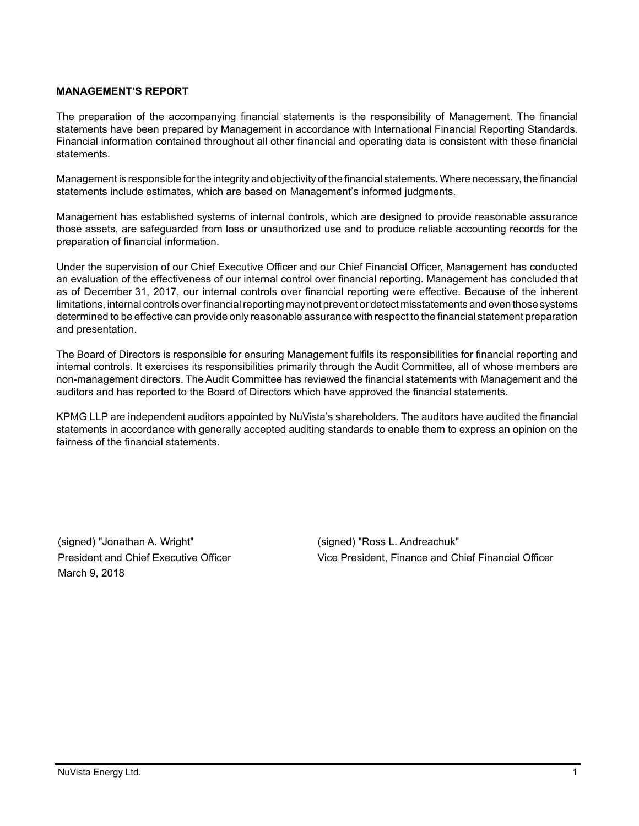# **MANAGEMENT'S REPORT**

The preparation of the accompanying financial statements is the responsibility of Management. The financial statements have been prepared by Management in accordance with International Financial Reporting Standards. Financial information contained throughout all other financial and operating data is consistent with these financial statements.

Management is responsible for the integrity and objectivity of the financial statements. Where necessary, the financial statements include estimates, which are based on Management's informed judgments.

Management has established systems of internal controls, which are designed to provide reasonable assurance those assets, are safeguarded from loss or unauthorized use and to produce reliable accounting records for the preparation of financial information.

Under the supervision of our Chief Executive Officer and our Chief Financial Officer, Management has conducted an evaluation of the effectiveness of our internal control over financial reporting. Management has concluded that as of December 31, 2017, our internal controls over financial reporting were effective. Because of the inherent limitations, internal controls over financial reporting may not prevent or detect misstatements and even those systems determined to be effective can provide only reasonable assurance with respect to the financial statement preparation and presentation.

The Board of Directors is responsible for ensuring Management fulfils its responsibilities for financial reporting and internal controls. It exercises its responsibilities primarily through the Audit Committee, all of whose members are non-management directors. The Audit Committee has reviewed the financial statements with Management and the auditors and has reported to the Board of Directors which have approved the financial statements.

KPMG LLP are independent auditors appointed by NuVista's shareholders. The auditors have audited the financial statements in accordance with generally accepted auditing standards to enable them to express an opinion on the fairness of the financial statements.

(signed) "Jonathan A. Wright" (signed) "Ross L. Andreachuk" March 9, 2018

President and Chief Executive Officer Vice President, Finance and Chief Financial Officer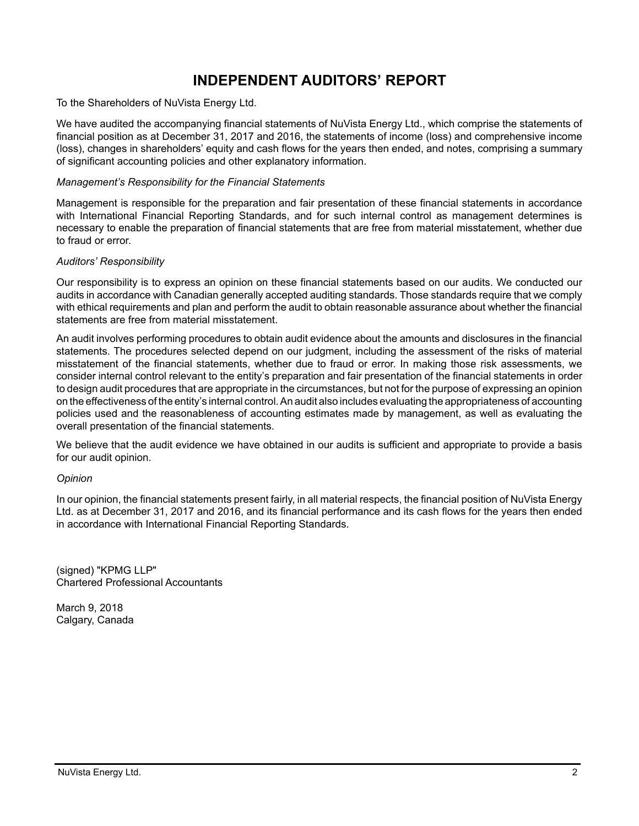# **INDEPENDENT AUDITORS' REPORT**

#### To the Shareholders of NuVista Energy Ltd.

We have audited the accompanying financial statements of NuVista Energy Ltd., which comprise the statements of financial position as at December 31, 2017 and 2016, the statements of income (loss) and comprehensive income (loss), changes in shareholders' equity and cash flows for the years then ended, and notes, comprising a summary of significant accounting policies and other explanatory information.

#### *Management's Responsibility for the Financial Statements*

Management is responsible for the preparation and fair presentation of these financial statements in accordance with International Financial Reporting Standards, and for such internal control as management determines is necessary to enable the preparation of financial statements that are free from material misstatement, whether due to fraud or error.

#### *Auditors' Responsibility*

Our responsibility is to express an opinion on these financial statements based on our audits. We conducted our audits in accordance with Canadian generally accepted auditing standards. Those standards require that we comply with ethical requirements and plan and perform the audit to obtain reasonable assurance about whether the financial statements are free from material misstatement.

An audit involves performing procedures to obtain audit evidence about the amounts and disclosures in the financial statements. The procedures selected depend on our judgment, including the assessment of the risks of material misstatement of the financial statements, whether due to fraud or error. In making those risk assessments, we consider internal control relevant to the entity's preparation and fair presentation of the financial statements in order to design audit procedures that are appropriate in the circumstances, but not for the purpose of expressing an opinion on the effectiveness of the entity's internal control.An audit also includes evaluating the appropriateness of accounting policies used and the reasonableness of accounting estimates made by management, as well as evaluating the overall presentation of the financial statements.

We believe that the audit evidence we have obtained in our audits is sufficient and appropriate to provide a basis for our audit opinion.

#### *Opinion*

In our opinion, the financial statements present fairly, in all material respects, the financial position of NuVista Energy Ltd. as at December 31, 2017 and 2016, and its financial performance and its cash flows for the years then ended in accordance with International Financial Reporting Standards.

(signed) "KPMG LLP" Chartered Professional Accountants

March 9, 2018 Calgary, Canada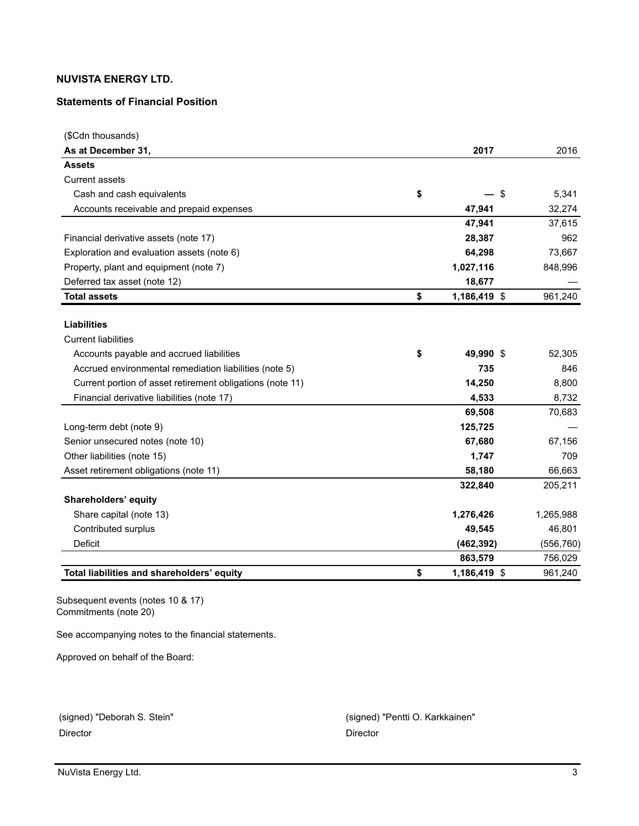#### **Statements of Financial Position**

| (\$Cdn thousands)                                         |                    |             |
|-----------------------------------------------------------|--------------------|-------------|
| As at December 31,                                        | 2017               | 2016        |
| <b>Assets</b>                                             |                    |             |
| <b>Current assets</b>                                     |                    |             |
| Cash and cash equivalents                                 | \$                 | \$<br>5,341 |
| Accounts receivable and prepaid expenses                  | 47,941             | 32,274      |
|                                                           | 47,941             | 37,615      |
| Financial derivative assets (note 17)                     | 28,387             | 962         |
| Exploration and evaluation assets (note 6)                | 64,298             | 73,667      |
| Property, plant and equipment (note 7)                    | 1,027,116          | 848,996     |
| Deferred tax asset (note 12)                              | 18,677             |             |
| <b>Total assets</b>                                       | \$<br>1,186,419 \$ | 961,240     |
|                                                           |                    |             |
| <b>Liabilities</b>                                        |                    |             |
| <b>Current liabilities</b>                                |                    |             |
| Accounts payable and accrued liabilities                  | \$<br>49,990 \$    | 52,305      |
| Accrued environmental remediation liabilities (note 5)    | 735                | 846         |
| Current portion of asset retirement obligations (note 11) | 14,250             | 8,800       |
| Financial derivative liabilities (note 17)                | 4,533              | 8,732       |
|                                                           | 69,508             | 70,683      |
| Long-term debt (note 9)                                   | 125,725            |             |
| Senior unsecured notes (note 10)                          | 67,680             | 67,156      |
| Other liabilities (note 15)                               | 1,747              | 709         |
| Asset retirement obligations (note 11)                    | 58,180             | 66,663      |
|                                                           | 322,840            | 205,211     |
| Shareholders' equity                                      |                    |             |
| Share capital (note 13)                                   | 1,276,426          | 1,265,988   |
| Contributed surplus                                       | 49,545             | 46,801      |
| <b>Deficit</b>                                            | (462, 392)         | (556, 760)  |
|                                                           | 863,579            | 756,029     |
| Total liabilities and shareholders' equity                | \$<br>1,186,419 \$ | 961,240     |

Subsequent events (notes 10 & 17) Commitments (note 20)

See accompanying notes to the financial statements.

Approved on behalf of the Board:

Director Director

(signed) "Deborah S. Stein" (signed) "Pentti O. Karkkainen"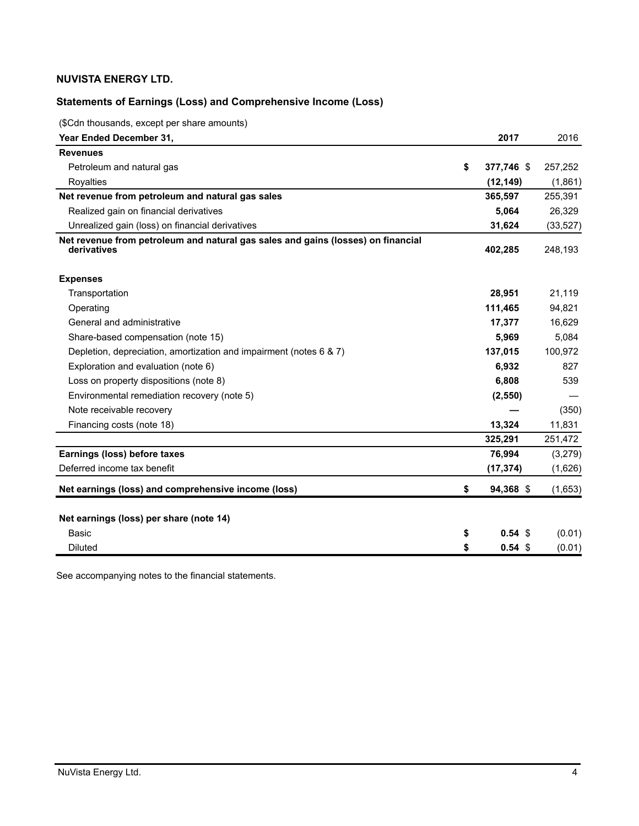# **Statements of Earnings (Loss) and Comprehensive Income (Loss)**

(\$Cdn thousands, except per share amounts)

| Year Ended December 31,                                                                         | 2017                    | 2016      |
|-------------------------------------------------------------------------------------------------|-------------------------|-----------|
| <b>Revenues</b>                                                                                 |                         |           |
| Petroleum and natural gas                                                                       | \$<br>377,746 \$        | 257,252   |
| <b>Royalties</b>                                                                                | (12, 149)               | (1,861)   |
| Net revenue from petroleum and natural gas sales                                                | 365,597                 | 255,391   |
| Realized gain on financial derivatives                                                          | 5.064                   | 26,329    |
| Unrealized gain (loss) on financial derivatives                                                 | 31,624                  | (33, 527) |
| Net revenue from petroleum and natural gas sales and gains (losses) on financial<br>derivatives | 402,285                 | 248,193   |
| <b>Expenses</b>                                                                                 |                         |           |
| Transportation                                                                                  | 28,951                  | 21,119    |
| Operating                                                                                       | 111,465                 | 94,821    |
| General and administrative                                                                      | 17,377                  | 16,629    |
| Share-based compensation (note 15)                                                              | 5,969                   | 5,084     |
| Depletion, depreciation, amortization and impairment (notes 6 & 7)                              | 137,015                 | 100,972   |
| Exploration and evaluation (note 6)                                                             | 6,932                   | 827       |
| Loss on property dispositions (note 8)                                                          | 6,808                   | 539       |
| Environmental remediation recovery (note 5)                                                     | (2, 550)                |           |
| Note receivable recovery                                                                        |                         | (350)     |
| Financing costs (note 18)                                                                       | 13,324                  | 11,831    |
|                                                                                                 | 325,291                 | 251,472   |
| Earnings (loss) before taxes                                                                    | 76,994                  | (3,279)   |
| Deferred income tax benefit                                                                     | (17, 374)               | (1,626)   |
| Net earnings (loss) and comprehensive income (loss)                                             | \$<br>94,368 \$         | (1,653)   |
| Net earnings (loss) per share (note 14)                                                         |                         |           |
| Basic                                                                                           | \$<br>$0.54 \text{ } $$ | (0.01)    |
| <b>Diluted</b>                                                                                  | \$<br>$0.54$ \$         | (0.01)    |

See accompanying notes to the financial statements.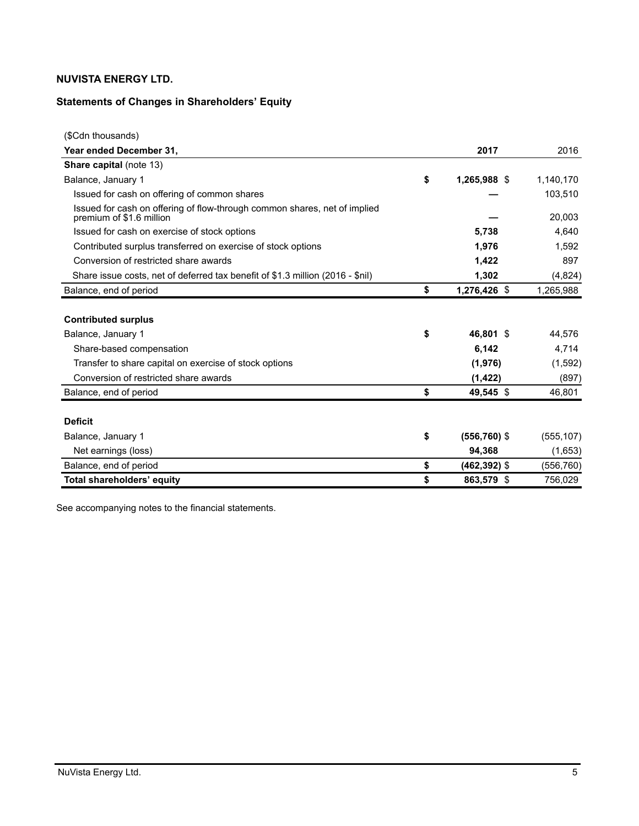# **Statements of Changes in Shareholders' Equity**

| (\$Cdn thousands)                                                                                     |                       |            |
|-------------------------------------------------------------------------------------------------------|-----------------------|------------|
| Year ended December 31,                                                                               | 2017                  | 2016       |
| <b>Share capital (note 13)</b>                                                                        |                       |            |
| Balance, January 1                                                                                    | \$<br>1,265,988 \$    | 1,140,170  |
| Issued for cash on offering of common shares                                                          |                       | 103,510    |
| Issued for cash on offering of flow-through common shares, net of implied<br>premium of \$1.6 million |                       | 20,003     |
| Issued for cash on exercise of stock options                                                          | 5,738                 | 4,640      |
| Contributed surplus transferred on exercise of stock options                                          | 1,976                 | 1,592      |
| Conversion of restricted share awards                                                                 | 1,422                 | 897        |
| Share issue costs, net of deferred tax benefit of \$1.3 million (2016 - \$nil)                        | 1,302                 | (4,824)    |
| Balance, end of period                                                                                | \$<br>1,276,426 \$    | 1,265,988  |
| <b>Contributed surplus</b>                                                                            |                       |            |
| Balance, January 1                                                                                    | \$<br>46,801 \$       | 44,576     |
| Share-based compensation                                                                              | 6,142                 | 4,714      |
| Transfer to share capital on exercise of stock options                                                | (1,976)               | (1,592)    |
| Conversion of restricted share awards                                                                 | (1, 422)              | (897)      |
| Balance, end of period                                                                                | \$<br>49,545 \$       | 46,801     |
|                                                                                                       |                       |            |
| <b>Deficit</b>                                                                                        |                       |            |
| Balance, January 1                                                                                    | \$<br>$(556, 760)$ \$ | (555, 107) |
| Net earnings (loss)                                                                                   | 94,368                | (1,653)    |
| Balance, end of period                                                                                | \$<br>$(462, 392)$ \$ | (556,760)  |
| Total shareholders' equity                                                                            | \$<br>863,579 \$      | 756,029    |

See accompanying notes to the financial statements.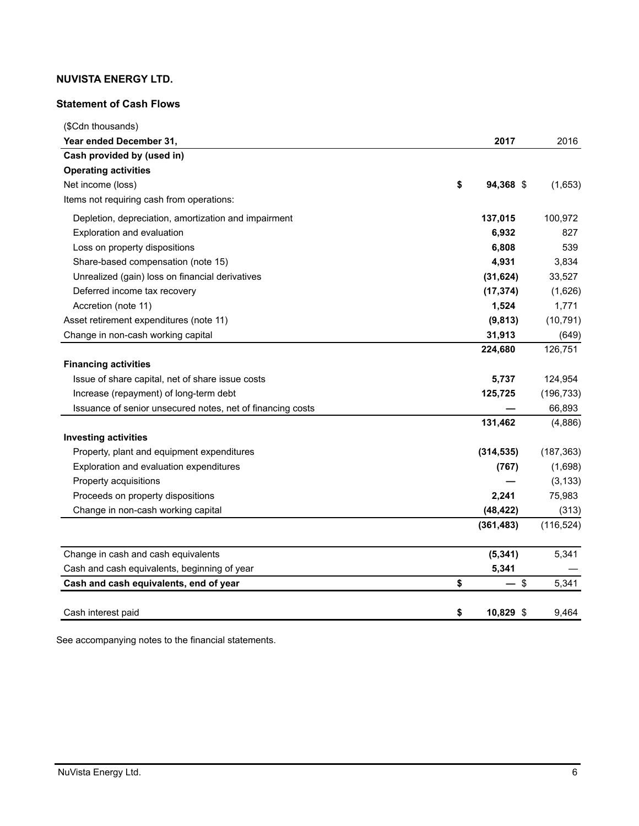# **Statement of Cash Flows**

| (\$Cdn thousands)                                          |                 |            |
|------------------------------------------------------------|-----------------|------------|
| Year ended December 31,                                    | 2017            | 2016       |
| Cash provided by (used in)                                 |                 |            |
| <b>Operating activities</b>                                |                 |            |
| Net income (loss)                                          | \$<br>94,368 \$ | (1,653)    |
| Items not requiring cash from operations:                  |                 |            |
| Depletion, depreciation, amortization and impairment       | 137,015         | 100,972    |
| Exploration and evaluation                                 | 6,932           | 827        |
| Loss on property dispositions                              | 6,808           | 539        |
| Share-based compensation (note 15)                         | 4,931           | 3,834      |
| Unrealized (gain) loss on financial derivatives            | (31, 624)       | 33,527     |
| Deferred income tax recovery                               | (17, 374)       | (1,626)    |
| Accretion (note 11)                                        | 1,524           | 1,771      |
| Asset retirement expenditures (note 11)                    | (9, 813)        | (10, 791)  |
| Change in non-cash working capital                         | 31,913          | (649)      |
|                                                            | 224,680         | 126,751    |
| <b>Financing activities</b>                                |                 |            |
| Issue of share capital, net of share issue costs           | 5,737           | 124,954    |
| Increase (repayment) of long-term debt                     | 125,725         | (196, 733) |
| Issuance of senior unsecured notes, net of financing costs |                 | 66,893     |
|                                                            | 131,462         | (4,886)    |
| <b>Investing activities</b>                                |                 |            |
| Property, plant and equipment expenditures                 | (314, 535)      | (187, 363) |
| Exploration and evaluation expenditures                    | (767)           | (1,698)    |
| Property acquisitions                                      |                 | (3, 133)   |
| Proceeds on property dispositions                          | 2,241           | 75,983     |
| Change in non-cash working capital                         | (48, 422)       | (313)      |
|                                                            | (361, 483)      | (116, 524) |
| Change in cash and cash equivalents                        | (5, 341)        | 5,341      |
| Cash and cash equivalents, beginning of year               | 5,341           |            |
| Cash and cash equivalents, end of year                     | \$<br>\$        | 5,341      |
| Cash interest paid                                         | \$<br>10,829 \$ | 9,464      |

See accompanying notes to the financial statements.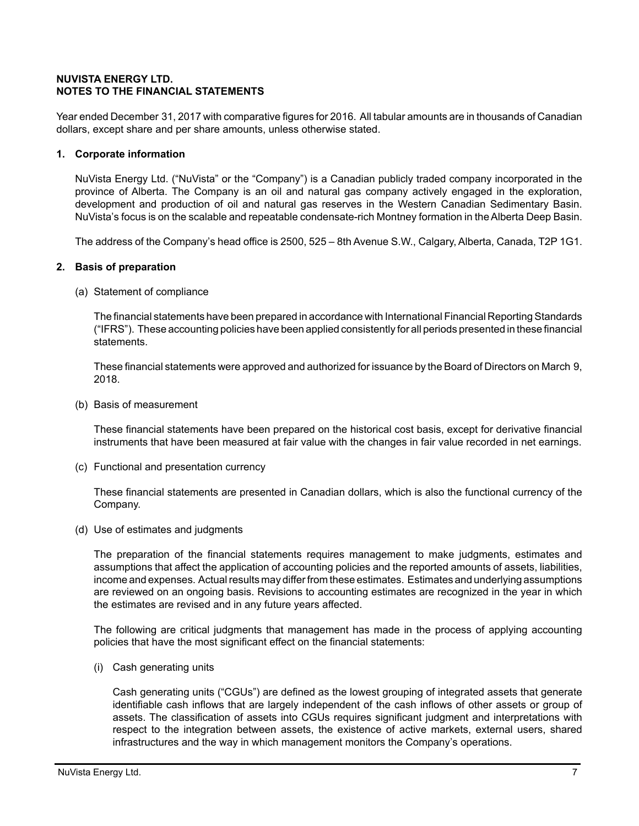#### **NUVISTA ENERGY LTD. NOTES TO THE FINANCIAL STATEMENTS**

Year ended December 31, 2017 with comparative figures for 2016. All tabular amounts are in thousands of Canadian dollars, except share and per share amounts, unless otherwise stated.

#### **1. Corporate information**

NuVista Energy Ltd. ("NuVista" or the "Company") is a Canadian publicly traded company incorporated in the province of Alberta. The Company is an oil and natural gas company actively engaged in the exploration, development and production of oil and natural gas reserves in the Western Canadian Sedimentary Basin. NuVista's focus is on the scalable and repeatable condensate-rich Montney formation in the Alberta Deep Basin.

The address of the Company's head office is 2500, 525 – 8th Avenue S.W., Calgary, Alberta, Canada, T2P 1G1.

#### **2. Basis of preparation**

(a) Statement of compliance

The financial statements have been prepared in accordance with International Financial Reporting Standards ("IFRS"). These accounting policies have been applied consistently for all periods presented in these financial statements.

These financial statements were approved and authorized for issuance by the Board of Directors on March 9, 2018.

(b) Basis of measurement

These financial statements have been prepared on the historical cost basis, except for derivative financial instruments that have been measured at fair value with the changes in fair value recorded in net earnings.

(c) Functional and presentation currency

These financial statements are presented in Canadian dollars, which is also the functional currency of the Company.

(d) Use of estimates and judgments

The preparation of the financial statements requires management to make judgments, estimates and assumptions that affect the application of accounting policies and the reported amounts of assets, liabilities, income and expenses. Actual results may differ from these estimates. Estimates and underlying assumptions are reviewed on an ongoing basis. Revisions to accounting estimates are recognized in the year in which the estimates are revised and in any future years affected.

The following are critical judgments that management has made in the process of applying accounting policies that have the most significant effect on the financial statements:

(i) Cash generating units

Cash generating units ("CGUs") are defined as the lowest grouping of integrated assets that generate identifiable cash inflows that are largely independent of the cash inflows of other assets or group of assets. The classification of assets into CGUs requires significant judgment and interpretations with respect to the integration between assets, the existence of active markets, external users, shared infrastructures and the way in which management monitors the Company's operations.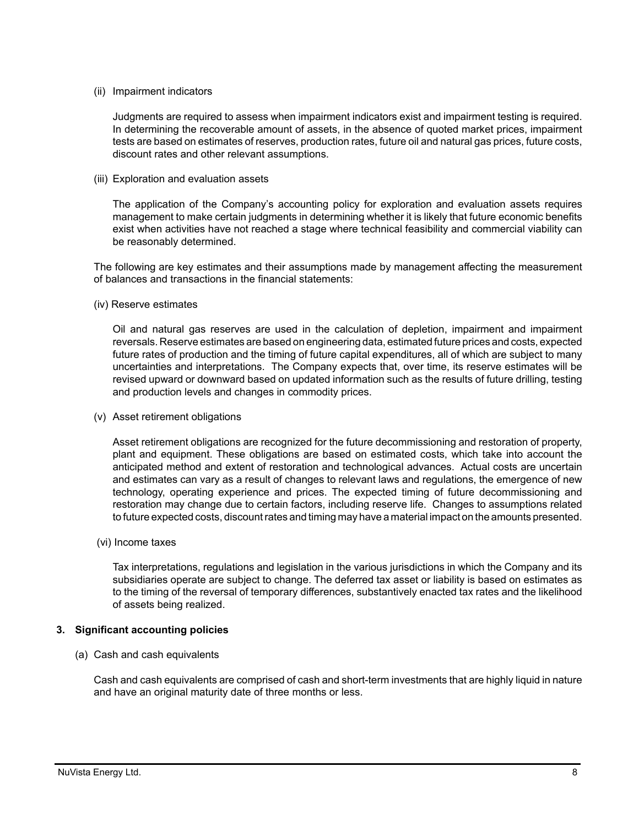#### (ii) Impairment indicators

Judgments are required to assess when impairment indicators exist and impairment testing is required. In determining the recoverable amount of assets, in the absence of quoted market prices, impairment tests are based on estimates of reserves, production rates, future oil and natural gas prices, future costs, discount rates and other relevant assumptions.

#### (iii) Exploration and evaluation assets

The application of the Company's accounting policy for exploration and evaluation assets requires management to make certain judgments in determining whether it is likely that future economic benefits exist when activities have not reached a stage where technical feasibility and commercial viability can be reasonably determined.

The following are key estimates and their assumptions made by management affecting the measurement of balances and transactions in the financial statements:

#### (iv) Reserve estimates

Oil and natural gas reserves are used in the calculation of depletion, impairment and impairment reversals. Reserve estimates are based on engineering data, estimated future prices and costs, expected future rates of production and the timing of future capital expenditures, all of which are subject to many uncertainties and interpretations. The Company expects that, over time, its reserve estimates will be revised upward or downward based on updated information such as the results of future drilling, testing and production levels and changes in commodity prices.

(v) Asset retirement obligations

Asset retirement obligations are recognized for the future decommissioning and restoration of property, plant and equipment. These obligations are based on estimated costs, which take into account the anticipated method and extent of restoration and technological advances. Actual costs are uncertain and estimates can vary as a result of changes to relevant laws and regulations, the emergence of new technology, operating experience and prices. The expected timing of future decommissioning and restoration may change due to certain factors, including reserve life. Changes to assumptions related to future expected costs, discount rates and timing may have a material impact on the amounts presented.

#### (vi) Income taxes

Tax interpretations, regulations and legislation in the various jurisdictions in which the Company and its subsidiaries operate are subject to change. The deferred tax asset or liability is based on estimates as to the timing of the reversal of temporary differences, substantively enacted tax rates and the likelihood of assets being realized.

# **3. Significant accounting policies**

(a) Cash and cash equivalents

Cash and cash equivalents are comprised of cash and short-term investments that are highly liquid in nature and have an original maturity date of three months or less.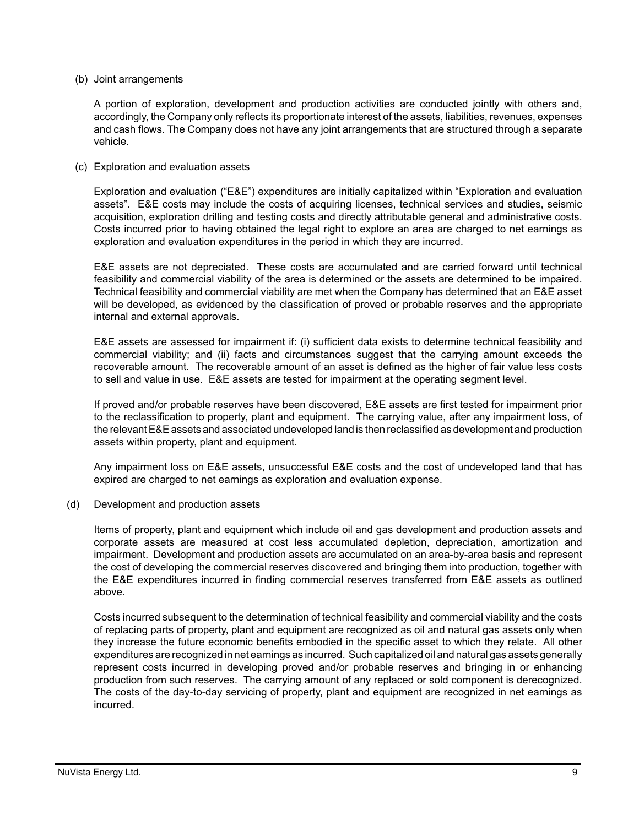(b) Joint arrangements

A portion of exploration, development and production activities are conducted jointly with others and, accordingly, the Company only reflects its proportionate interest of the assets, liabilities, revenues, expenses and cash flows. The Company does not have any joint arrangements that are structured through a separate vehicle.

(c) Exploration and evaluation assets

Exploration and evaluation ("E&E") expenditures are initially capitalized within "Exploration and evaluation assets". E&E costs may include the costs of acquiring licenses, technical services and studies, seismic acquisition, exploration drilling and testing costs and directly attributable general and administrative costs. Costs incurred prior to having obtained the legal right to explore an area are charged to net earnings as exploration and evaluation expenditures in the period in which they are incurred.

E&E assets are not depreciated. These costs are accumulated and are carried forward until technical feasibility and commercial viability of the area is determined or the assets are determined to be impaired. Technical feasibility and commercial viability are met when the Company has determined that an E&E asset will be developed, as evidenced by the classification of proved or probable reserves and the appropriate internal and external approvals.

E&E assets are assessed for impairment if: (i) sufficient data exists to determine technical feasibility and commercial viability; and (ii) facts and circumstances suggest that the carrying amount exceeds the recoverable amount. The recoverable amount of an asset is defined as the higher of fair value less costs to sell and value in use. E&E assets are tested for impairment at the operating segment level.

If proved and/or probable reserves have been discovered, E&E assets are first tested for impairment prior to the reclassification to property, plant and equipment. The carrying value, after any impairment loss, of the relevant E&E assets and associated undeveloped land is then reclassified as development and production assets within property, plant and equipment.

Any impairment loss on E&E assets, unsuccessful E&E costs and the cost of undeveloped land that has expired are charged to net earnings as exploration and evaluation expense.

(d) Development and production assets

Items of property, plant and equipment which include oil and gas development and production assets and corporate assets are measured at cost less accumulated depletion, depreciation, amortization and impairment. Development and production assets are accumulated on an area-by-area basis and represent the cost of developing the commercial reserves discovered and bringing them into production, together with the E&E expenditures incurred in finding commercial reserves transferred from E&E assets as outlined above.

Costs incurred subsequent to the determination of technical feasibility and commercial viability and the costs of replacing parts of property, plant and equipment are recognized as oil and natural gas assets only when they increase the future economic benefits embodied in the specific asset to which they relate. All other expenditures are recognized in net earnings as incurred. Such capitalized oil and natural gas assets generally represent costs incurred in developing proved and/or probable reserves and bringing in or enhancing production from such reserves. The carrying amount of any replaced or sold component is derecognized. The costs of the day-to-day servicing of property, plant and equipment are recognized in net earnings as incurred.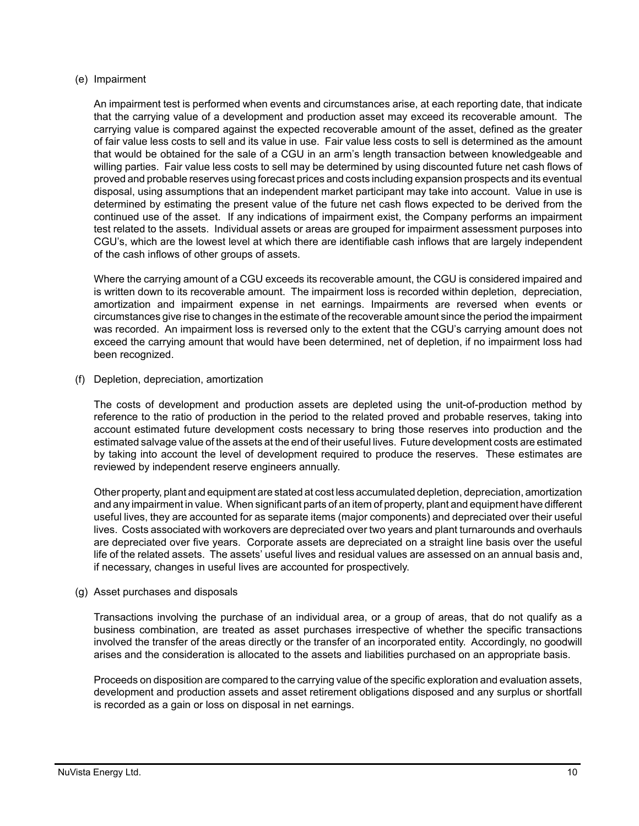#### (e) Impairment

An impairment test is performed when events and circumstances arise, at each reporting date, that indicate that the carrying value of a development and production asset may exceed its recoverable amount. The carrying value is compared against the expected recoverable amount of the asset, defined as the greater of fair value less costs to sell and its value in use. Fair value less costs to sell is determined as the amount that would be obtained for the sale of a CGU in an arm's length transaction between knowledgeable and willing parties. Fair value less costs to sell may be determined by using discounted future net cash flows of proved and probable reserves using forecast prices and costs including expansion prospects and its eventual disposal, using assumptions that an independent market participant may take into account. Value in use is determined by estimating the present value of the future net cash flows expected to be derived from the continued use of the asset. If any indications of impairment exist, the Company performs an impairment test related to the assets. Individual assets or areas are grouped for impairment assessment purposes into CGU's, which are the lowest level at which there are identifiable cash inflows that are largely independent of the cash inflows of other groups of assets.

Where the carrying amount of a CGU exceeds its recoverable amount, the CGU is considered impaired and is written down to its recoverable amount. The impairment loss is recorded within depletion, depreciation, amortization and impairment expense in net earnings. Impairments are reversed when events or circumstances give rise to changes in the estimate of the recoverable amount since the period the impairment was recorded. An impairment loss is reversed only to the extent that the CGU's carrying amount does not exceed the carrying amount that would have been determined, net of depletion, if no impairment loss had been recognized.

(f) Depletion, depreciation, amortization

The costs of development and production assets are depleted using the unit-of-production method by reference to the ratio of production in the period to the related proved and probable reserves, taking into account estimated future development costs necessary to bring those reserves into production and the estimated salvage value of the assets at the end of their useful lives. Future development costs are estimated by taking into account the level of development required to produce the reserves. These estimates are reviewed by independent reserve engineers annually.

Other property, plant and equipment are stated at cost less accumulated depletion, depreciation, amortization and any impairment in value. When significant parts of an item of property, plant and equipment have different useful lives, they are accounted for as separate items (major components) and depreciated over their useful lives. Costs associated with workovers are depreciated over two years and plant turnarounds and overhauls are depreciated over five years. Corporate assets are depreciated on a straight line basis over the useful life of the related assets. The assets' useful lives and residual values are assessed on an annual basis and, if necessary, changes in useful lives are accounted for prospectively.

#### (g) Asset purchases and disposals

Transactions involving the purchase of an individual area, or a group of areas, that do not qualify as a business combination, are treated as asset purchases irrespective of whether the specific transactions involved the transfer of the areas directly or the transfer of an incorporated entity. Accordingly, no goodwill arises and the consideration is allocated to the assets and liabilities purchased on an appropriate basis.

Proceeds on disposition are compared to the carrying value of the specific exploration and evaluation assets, development and production assets and asset retirement obligations disposed and any surplus or shortfall is recorded as a gain or loss on disposal in net earnings.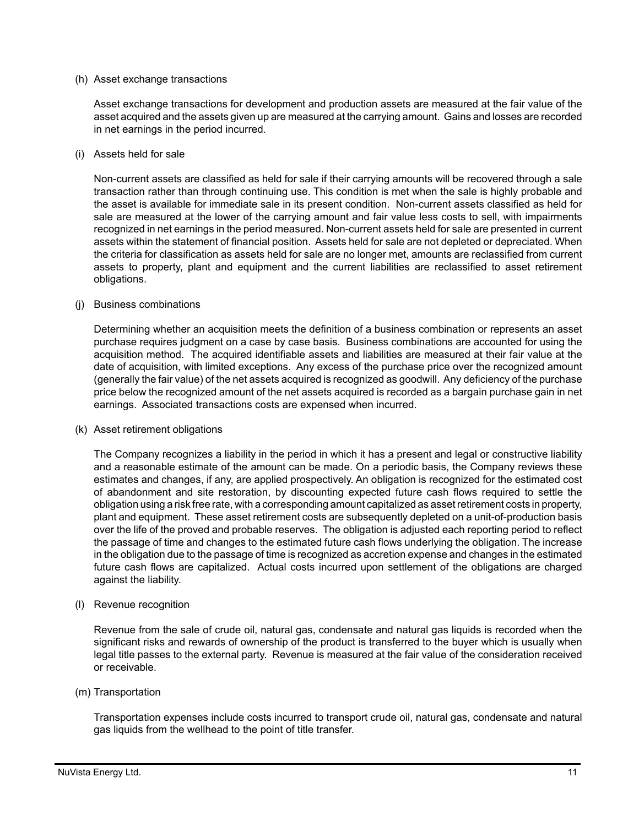#### (h) Asset exchange transactions

Asset exchange transactions for development and production assets are measured at the fair value of the asset acquired and the assets given up are measured at the carrying amount. Gains and losses are recorded in net earnings in the period incurred.

#### (i) Assets held for sale

Non-current assets are classified as held for sale if their carrying amounts will be recovered through a sale transaction rather than through continuing use. This condition is met when the sale is highly probable and the asset is available for immediate sale in its present condition. Non-current assets classified as held for sale are measured at the lower of the carrying amount and fair value less costs to sell, with impairments recognized in net earnings in the period measured. Non-current assets held for sale are presented in current assets within the statement of financial position. Assets held for sale are not depleted or depreciated. When the criteria for classification as assets held for sale are no longer met, amounts are reclassified from current assets to property, plant and equipment and the current liabilities are reclassified to asset retirement obligations.

# (j) Business combinations

Determining whether an acquisition meets the definition of a business combination or represents an asset purchase requires judgment on a case by case basis. Business combinations are accounted for using the acquisition method. The acquired identifiable assets and liabilities are measured at their fair value at the date of acquisition, with limited exceptions. Any excess of the purchase price over the recognized amount (generally the fair value) of the net assets acquired is recognized as goodwill. Any deficiency of the purchase price below the recognized amount of the net assets acquired is recorded as a bargain purchase gain in net earnings. Associated transactions costs are expensed when incurred.

#### (k) Asset retirement obligations

The Company recognizes a liability in the period in which it has a present and legal or constructive liability and a reasonable estimate of the amount can be made. On a periodic basis, the Company reviews these estimates and changes, if any, are applied prospectively. An obligation is recognized for the estimated cost of abandonment and site restoration, by discounting expected future cash flows required to settle the obligation using a risk free rate, with a corresponding amount capitalized as asset retirement costs in property, plant and equipment. These asset retirement costs are subsequently depleted on a unit-of-production basis over the life of the proved and probable reserves. The obligation is adjusted each reporting period to reflect the passage of time and changes to the estimated future cash flows underlying the obligation. The increase in the obligation due to the passage of time is recognized as accretion expense and changes in the estimated future cash flows are capitalized. Actual costs incurred upon settlement of the obligations are charged against the liability.

# (l) Revenue recognition

Revenue from the sale of crude oil, natural gas, condensate and natural gas liquids is recorded when the significant risks and rewards of ownership of the product is transferred to the buyer which is usually when legal title passes to the external party. Revenue is measured at the fair value of the consideration received or receivable.

# (m) Transportation

Transportation expenses include costs incurred to transport crude oil, natural gas, condensate and natural gas liquids from the wellhead to the point of title transfer.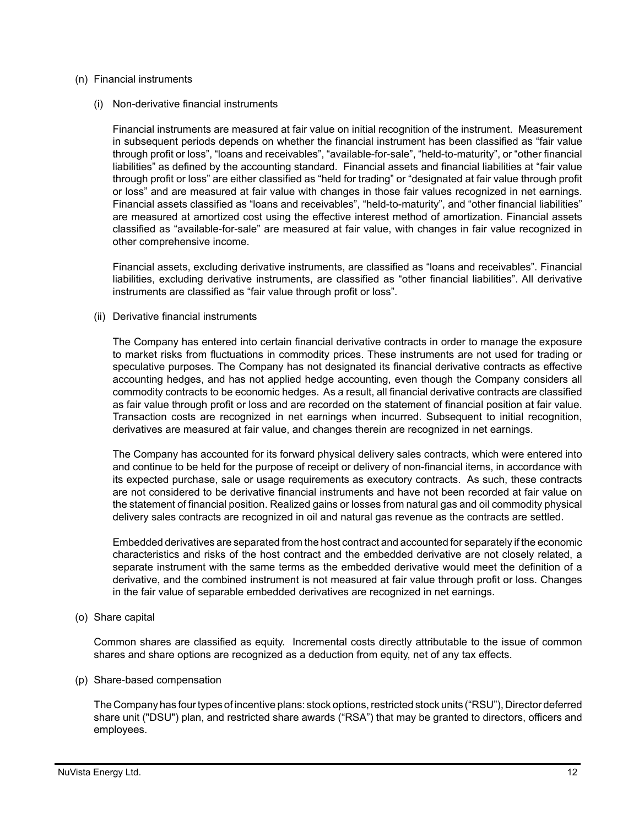#### (n) Financial instruments

(i) Non-derivative financial instruments

Financial instruments are measured at fair value on initial recognition of the instrument. Measurement in subsequent periods depends on whether the financial instrument has been classified as "fair value through profit or loss", "loans and receivables", "available-for-sale", "held-to-maturity", or "other financial liabilities" as defined by the accounting standard. Financial assets and financial liabilities at "fair value through profit or loss" are either classified as "held for trading" or "designated at fair value through profit or loss" and are measured at fair value with changes in those fair values recognized in net earnings. Financial assets classified as "loans and receivables", "held-to-maturity", and "other financial liabilities" are measured at amortized cost using the effective interest method of amortization. Financial assets classified as "available-for-sale" are measured at fair value, with changes in fair value recognized in other comprehensive income.

Financial assets, excluding derivative instruments, are classified as "loans and receivables". Financial liabilities, excluding derivative instruments, are classified as "other financial liabilities". All derivative instruments are classified as "fair value through profit or loss".

(ii) Derivative financial instruments

The Company has entered into certain financial derivative contracts in order to manage the exposure to market risks from fluctuations in commodity prices. These instruments are not used for trading or speculative purposes. The Company has not designated its financial derivative contracts as effective accounting hedges, and has not applied hedge accounting, even though the Company considers all commodity contracts to be economic hedges. As a result, all financial derivative contracts are classified as fair value through profit or loss and are recorded on the statement of financial position at fair value. Transaction costs are recognized in net earnings when incurred. Subsequent to initial recognition, derivatives are measured at fair value, and changes therein are recognized in net earnings.

The Company has accounted for its forward physical delivery sales contracts, which were entered into and continue to be held for the purpose of receipt or delivery of non-financial items, in accordance with its expected purchase, sale or usage requirements as executory contracts. As such, these contracts are not considered to be derivative financial instruments and have not been recorded at fair value on the statement of financial position. Realized gains or losses from natural gas and oil commodity physical delivery sales contracts are recognized in oil and natural gas revenue as the contracts are settled.

Embedded derivatives are separated from the host contract and accounted for separately if the economic characteristics and risks of the host contract and the embedded derivative are not closely related, a separate instrument with the same terms as the embedded derivative would meet the definition of a derivative, and the combined instrument is not measured at fair value through profit or loss. Changes in the fair value of separable embedded derivatives are recognized in net earnings.

(o) Share capital

Common shares are classified as equity. Incremental costs directly attributable to the issue of common shares and share options are recognized as a deduction from equity, net of any tax effects.

(p) Share-based compensation

The Company has four types of incentive plans: stock options, restricted stock units ("RSU"), Director deferred share unit ("DSU") plan, and restricted share awards ("RSA") that may be granted to directors, officers and employees.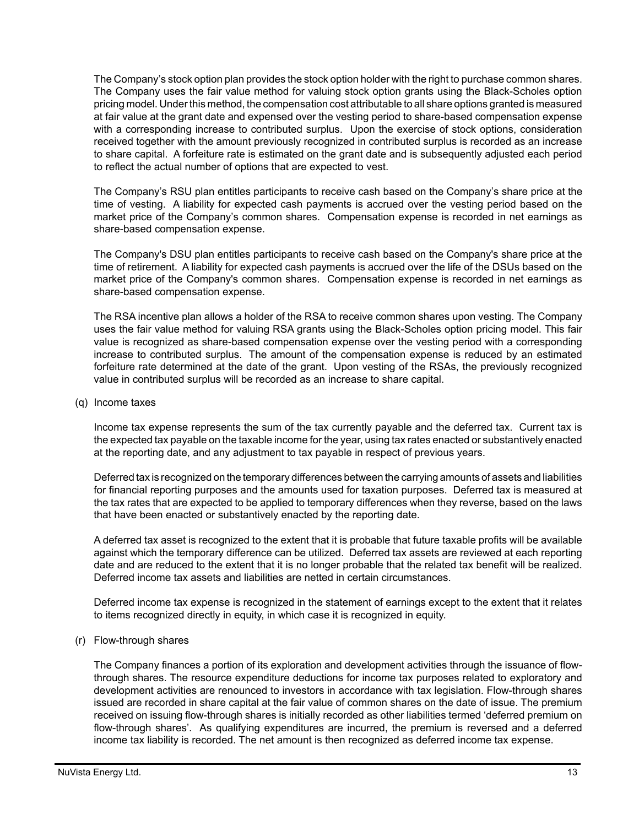The Company's stock option plan provides the stock option holder with the right to purchase common shares. The Company uses the fair value method for valuing stock option grants using the Black-Scholes option pricing model. Under this method, the compensation cost attributable to all share options granted is measured at fair value at the grant date and expensed over the vesting period to share-based compensation expense with a corresponding increase to contributed surplus. Upon the exercise of stock options, consideration received together with the amount previously recognized in contributed surplus is recorded as an increase to share capital. A forfeiture rate is estimated on the grant date and is subsequently adjusted each period to reflect the actual number of options that are expected to vest.

The Company's RSU plan entitles participants to receive cash based on the Company's share price at the time of vesting. A liability for expected cash payments is accrued over the vesting period based on the market price of the Company's common shares. Compensation expense is recorded in net earnings as share-based compensation expense.

The Company's DSU plan entitles participants to receive cash based on the Company's share price at the time of retirement. A liability for expected cash payments is accrued over the life of the DSUs based on the market price of the Company's common shares. Compensation expense is recorded in net earnings as share-based compensation expense.

The RSA incentive plan allows a holder of the RSA to receive common shares upon vesting. The Company uses the fair value method for valuing RSA grants using the Black-Scholes option pricing model. This fair value is recognized as share-based compensation expense over the vesting period with a corresponding increase to contributed surplus. The amount of the compensation expense is reduced by an estimated forfeiture rate determined at the date of the grant. Upon vesting of the RSAs, the previously recognized value in contributed surplus will be recorded as an increase to share capital.

(q) Income taxes

Income tax expense represents the sum of the tax currently payable and the deferred tax. Current tax is the expected tax payable on the taxable income for the year, using tax rates enacted or substantively enacted at the reporting date, and any adjustment to tax payable in respect of previous years.

Deferred tax is recognized on the temporary differences between the carrying amounts of assets and liabilities for financial reporting purposes and the amounts used for taxation purposes. Deferred tax is measured at the tax rates that are expected to be applied to temporary differences when they reverse, based on the laws that have been enacted or substantively enacted by the reporting date.

A deferred tax asset is recognized to the extent that it is probable that future taxable profits will be available against which the temporary difference can be utilized. Deferred tax assets are reviewed at each reporting date and are reduced to the extent that it is no longer probable that the related tax benefit will be realized. Deferred income tax assets and liabilities are netted in certain circumstances.

Deferred income tax expense is recognized in the statement of earnings except to the extent that it relates to items recognized directly in equity, in which case it is recognized in equity.

(r) Flow-through shares

The Company finances a portion of its exploration and development activities through the issuance of flowthrough shares. The resource expenditure deductions for income tax purposes related to exploratory and development activities are renounced to investors in accordance with tax legislation. Flow-through shares issued are recorded in share capital at the fair value of common shares on the date of issue. The premium received on issuing flow-through shares is initially recorded as other liabilities termed 'deferred premium on flow-through shares'. As qualifying expenditures are incurred, the premium is reversed and a deferred income tax liability is recorded. The net amount is then recognized as deferred income tax expense.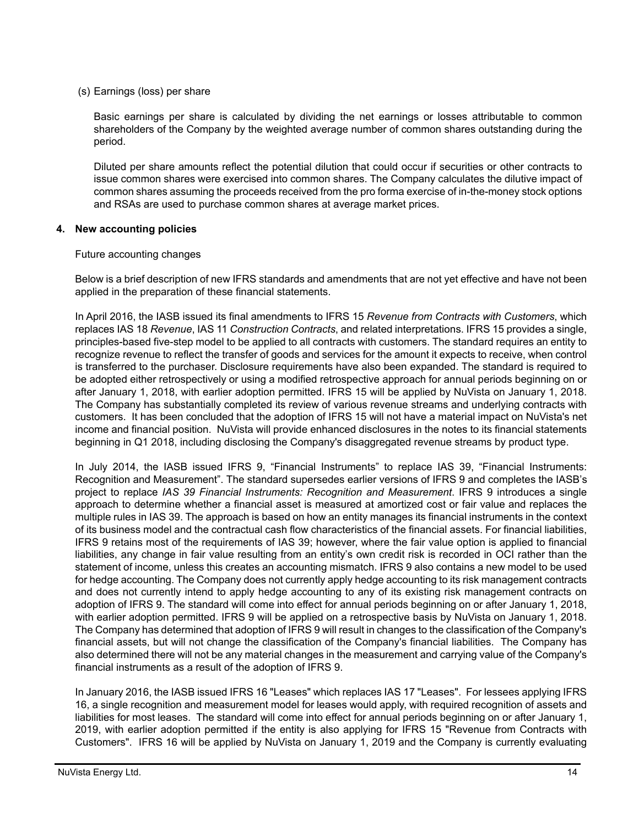# (s) Earnings (loss) per share

Basic earnings per share is calculated by dividing the net earnings or losses attributable to common shareholders of the Company by the weighted average number of common shares outstanding during the period.

Diluted per share amounts reflect the potential dilution that could occur if securities or other contracts to issue common shares were exercised into common shares. The Company calculates the dilutive impact of common shares assuming the proceeds received from the pro forma exercise of in-the-money stock options and RSAs are used to purchase common shares at average market prices.

# **4. New accounting policies**

# Future accounting changes

Below is a brief description of new IFRS standards and amendments that are not yet effective and have not been applied in the preparation of these financial statements.

In April 2016, the IASB issued its final amendments to IFRS 15 *Revenue from Contracts with Customers*, which replaces IAS 18 *Revenue*, IAS 11 *Construction Contracts*, and related interpretations. IFRS 15 provides a single, principles-based five-step model to be applied to all contracts with customers. The standard requires an entity to recognize revenue to reflect the transfer of goods and services for the amount it expects to receive, when control is transferred to the purchaser. Disclosure requirements have also been expanded. The standard is required to be adopted either retrospectively or using a modified retrospective approach for annual periods beginning on or after January 1, 2018, with earlier adoption permitted. IFRS 15 will be applied by NuVista on January 1, 2018. The Company has substantially completed its review of various revenue streams and underlying contracts with customers. It has been concluded that the adoption of IFRS 15 will not have a material impact on NuVista's net income and financial position. NuVista will provide enhanced disclosures in the notes to its financial statements beginning in Q1 2018, including disclosing the Company's disaggregated revenue streams by product type.

In July 2014, the IASB issued IFRS 9, "Financial Instruments" to replace IAS 39, "Financial Instruments: Recognition and Measurement". The standard supersedes earlier versions of IFRS 9 and completes the IASB's project to replace *IAS 39 Financial Instruments: Recognition and Measurement*. IFRS 9 introduces a single approach to determine whether a financial asset is measured at amortized cost or fair value and replaces the multiple rules in IAS 39. The approach is based on how an entity manages its financial instruments in the context of its business model and the contractual cash flow characteristics of the financial assets. For financial liabilities, IFRS 9 retains most of the requirements of IAS 39; however, where the fair value option is applied to financial liabilities, any change in fair value resulting from an entity's own credit risk is recorded in OCI rather than the statement of income, unless this creates an accounting mismatch. IFRS 9 also contains a new model to be used for hedge accounting. The Company does not currently apply hedge accounting to its risk management contracts and does not currently intend to apply hedge accounting to any of its existing risk management contracts on adoption of IFRS 9. The standard will come into effect for annual periods beginning on or after January 1, 2018, with earlier adoption permitted. IFRS 9 will be applied on a retrospective basis by NuVista on January 1, 2018. The Company has determined that adoption of IFRS 9 will result in changes to the classification of the Company's financial assets, but will not change the classification of the Company's financial liabilities. The Company has also determined there will not be any material changes in the measurement and carrying value of the Company's financial instruments as a result of the adoption of IFRS 9.

In January 2016, the IASB issued IFRS 16 "Leases" which replaces IAS 17 "Leases". For lessees applying IFRS 16, a single recognition and measurement model for leases would apply, with required recognition of assets and liabilities for most leases. The standard will come into effect for annual periods beginning on or after January 1, 2019, with earlier adoption permitted if the entity is also applying for IFRS 15 "Revenue from Contracts with Customers". IFRS 16 will be applied by NuVista on January 1, 2019 and the Company is currently evaluating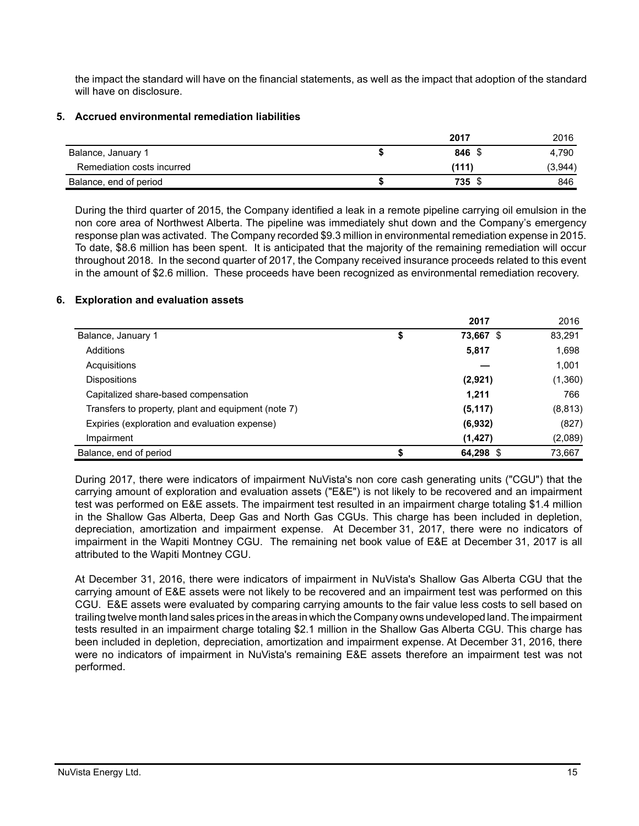the impact the standard will have on the financial statements, as well as the impact that adoption of the standard will have on disclosure.

#### **5. Accrued environmental remediation liabilities**

|                            | 2017   | 2016    |
|----------------------------|--------|---------|
| Balance, January 1         | 846 \$ | 4.790   |
| Remediation costs incurred | (111)  | (3,944) |
| Balance, end of period     | 735    | 846     |

During the third quarter of 2015, the Company identified a leak in a remote pipeline carrying oil emulsion in the non core area of Northwest Alberta. The pipeline was immediately shut down and the Company's emergency response plan was activated. The Company recorded \$9.3 million in environmental remediation expense in 2015. To date, \$8.6 million has been spent. It is anticipated that the majority of the remaining remediation will occur throughout 2018. In the second quarter of 2017, the Company received insurance proceeds related to this event in the amount of \$2.6 million. These proceeds have been recognized as environmental remediation recovery.

#### **6. Exploration and evaluation assets**

|                                                     | 2017            | 2016     |
|-----------------------------------------------------|-----------------|----------|
| Balance, January 1                                  | \$<br>73,667 \$ | 83,291   |
| Additions                                           | 5,817           | 1,698    |
| Acquisitions                                        |                 | 1,001    |
| <b>Dispositions</b>                                 | (2,921)         | (1,360)  |
| Capitalized share-based compensation                | 1,211           | 766      |
| Transfers to property, plant and equipment (note 7) | (5, 117)        | (8, 813) |
| Expiries (exploration and evaluation expense)       | (6,932)         | (827)    |
| Impairment                                          | (1, 427)        | (2,089)  |
| Balance, end of period                              | 64.298 \$       | 73.667   |

During 2017, there were indicators of impairment NuVista's non core cash generating units ("CGU") that the carrying amount of exploration and evaluation assets ("E&E") is not likely to be recovered and an impairment test was performed on E&E assets. The impairment test resulted in an impairment charge totaling \$1.4 million in the Shallow Gas Alberta, Deep Gas and North Gas CGUs. This charge has been included in depletion, depreciation, amortization and impairment expense. At December 31, 2017, there were no indicators of impairment in the Wapiti Montney CGU. The remaining net book value of E&E at December 31, 2017 is all attributed to the Wapiti Montney CGU.

At December 31, 2016, there were indicators of impairment in NuVista's Shallow Gas Alberta CGU that the carrying amount of E&E assets were not likely to be recovered and an impairment test was performed on this CGU. E&E assets were evaluated by comparing carrying amounts to the fair value less costs to sell based on trailing twelve month land sales prices in the areas in which the Company owns undeveloped land. The impairment tests resulted in an impairment charge totaling \$2.1 million in the Shallow Gas Alberta CGU. This charge has been included in depletion, depreciation, amortization and impairment expense. At December 31, 2016, there were no indicators of impairment in NuVista's remaining E&E assets therefore an impairment test was not performed.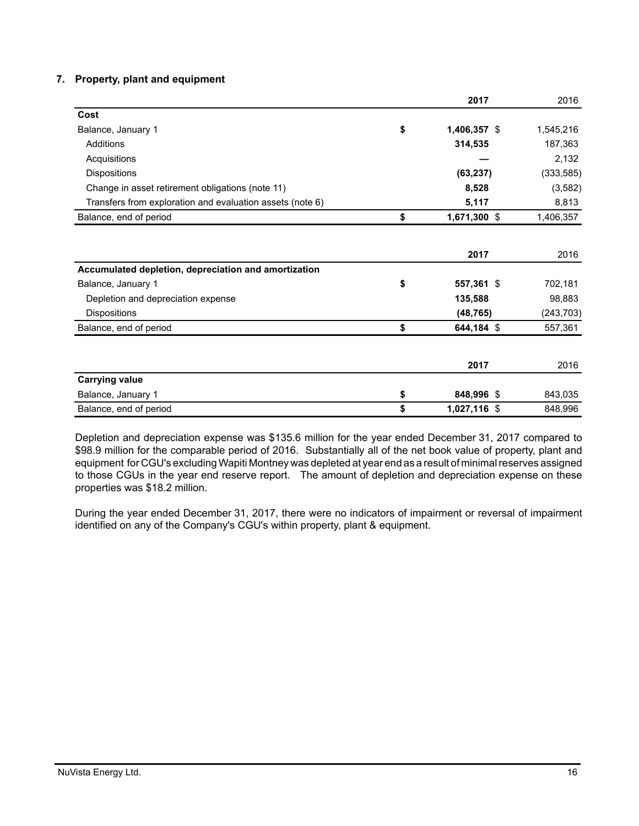# **7. Property, plant and equipment**

|                                                                            | 2017                                | 2016                      |
|----------------------------------------------------------------------------|-------------------------------------|---------------------------|
| Cost                                                                       |                                     |                           |
| Balance, January 1                                                         | \$<br>1,406,357 \$                  | 1,545,216                 |
| Additions                                                                  | 314,535                             | 187,363                   |
| Acquisitions                                                               |                                     | 2,132                     |
| Dispositions                                                               | (63, 237)                           | (333, 585)                |
| Change in asset retirement obligations (note 11)                           | 8,528                               | (3, 582)                  |
| Transfers from exploration and evaluation assets (note 6)                  | 5,117                               | 8,813                     |
| Balance, end of period                                                     | \$<br>1,671,300 \$                  | 1,406,357                 |
| Accumulated depletion, depreciation and amortization<br>Balance, January 1 | \$<br>2017<br>557,361 \$<br>135,588 | 2016<br>702,181<br>98,883 |
| Depletion and depreciation expense<br><b>Dispositions</b>                  | (48, 765)                           | (243, 703)                |
| Balance, end of period                                                     | \$<br>644,184 \$                    | 557,361                   |
|                                                                            | 2017                                | 2016                      |
| <b>Carrying value</b>                                                      |                                     |                           |
| Balance, January 1                                                         | \$<br>848,996 \$                    | 843,035                   |
| Balance, end of period                                                     | \$<br>1,027,116 \$                  | 848,996                   |

Depletion and depreciation expense was \$135.6 million for the year ended December 31, 2017 compared to \$98.9 million for the comparable period of 2016. Substantially all of the net book value of property, plant and equipment for CGU's excluding Wapiti Montney was depleted at year end as a result of minimal reserves assigned to those CGUs in the year end reserve report. The amount of depletion and depreciation expense on these properties was \$18.2 million.

During the year ended December 31, 2017, there were no indicators of impairment or reversal of impairment identified on any of the Company's CGU's within property, plant & equipment.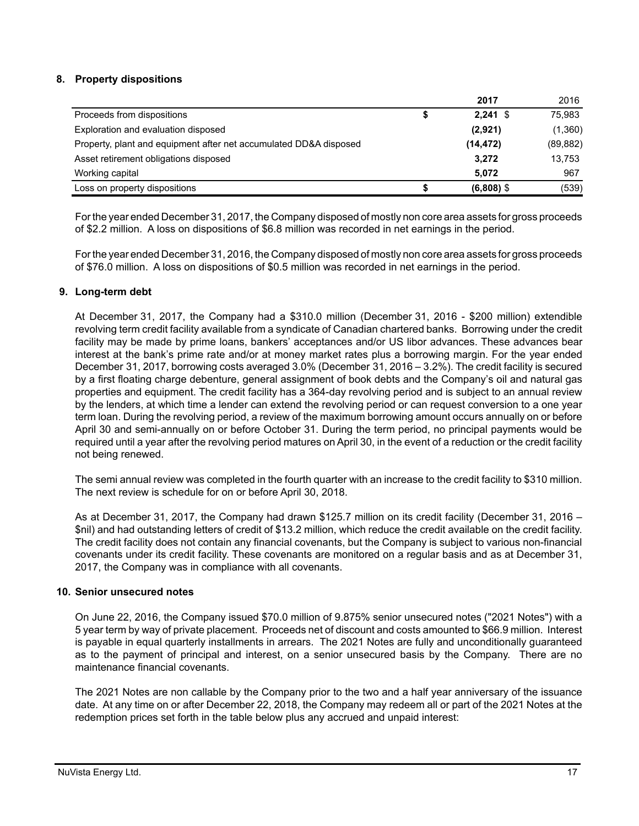# **8. Property dispositions**

|                                                                   | 2017         | 2016      |
|-------------------------------------------------------------------|--------------|-----------|
| Proceeds from dispositions                                        | $2.241$ \$   | 75.983    |
| Exploration and evaluation disposed                               | (2,921)      | (1,360)   |
| Property, plant and equipment after net accumulated DD&A disposed | (14, 472)    | (89, 882) |
| Asset retirement obligations disposed                             | 3,272        | 13,753    |
| Working capital                                                   | 5.072        | 967       |
| Loss on property dispositions                                     | $(6,808)$ \$ | (539)     |

For the year ended December 31, 2017, the Company disposed of mostly non core area assets for gross proceeds of \$2.2 million. A loss on dispositions of \$6.8 million was recorded in net earnings in the period.

For the year ended December 31, 2016, the Company disposed of mostly non core area assets for gross proceeds of \$76.0 million. A loss on dispositions of \$0.5 million was recorded in net earnings in the period.

# **9. Long-term debt**

At December 31, 2017, the Company had a \$310.0 million (December 31, 2016 - \$200 million) extendible revolving term credit facility available from a syndicate of Canadian chartered banks. Borrowing under the credit facility may be made by prime loans, bankers' acceptances and/or US libor advances. These advances bear interest at the bank's prime rate and/or at money market rates plus a borrowing margin. For the year ended December 31, 2017, borrowing costs averaged 3.0% (December 31, 2016 – 3.2%). The credit facility is secured by a first floating charge debenture, general assignment of book debts and the Company's oil and natural gas properties and equipment. The credit facility has a 364-day revolving period and is subject to an annual review by the lenders, at which time a lender can extend the revolving period or can request conversion to a one year term loan. During the revolving period, a review of the maximum borrowing amount occurs annually on or before April 30 and semi-annually on or before October 31. During the term period, no principal payments would be required until a year after the revolving period matures on April 30, in the event of a reduction or the credit facility not being renewed.

The semi annual review was completed in the fourth quarter with an increase to the credit facility to \$310 million. The next review is schedule for on or before April 30, 2018.

As at December 31, 2017, the Company had drawn \$125.7 million on its credit facility (December 31, 2016 – \$nil) and had outstanding letters of credit of \$13.2 million, which reduce the credit available on the credit facility. The credit facility does not contain any financial covenants, but the Company is subject to various non-financial covenants under its credit facility. These covenants are monitored on a regular basis and as at December 31, 2017, the Company was in compliance with all covenants.

# **10. Senior unsecured notes**

On June 22, 2016, the Company issued \$70.0 million of 9.875% senior unsecured notes ("2021 Notes") with a 5 year term by way of private placement. Proceeds net of discount and costs amounted to \$66.9 million. Interest is payable in equal quarterly installments in arrears. The 2021 Notes are fully and unconditionally guaranteed as to the payment of principal and interest, on a senior unsecured basis by the Company. There are no maintenance financial covenants.

The 2021 Notes are non callable by the Company prior to the two and a half year anniversary of the issuance date. At any time on or after December 22, 2018, the Company may redeem all or part of the 2021 Notes at the redemption prices set forth in the table below plus any accrued and unpaid interest: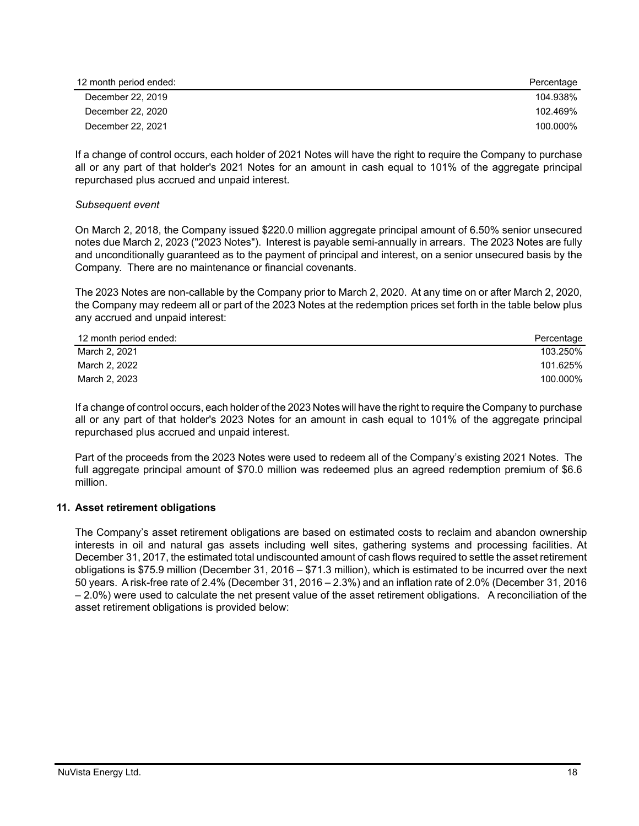| 12 month period ended: | Percentage |
|------------------------|------------|
| December 22, 2019      | 104.938%   |
| December 22, 2020      | 102.469%   |
| December 22, 2021      | 100.000%   |

If a change of control occurs, each holder of 2021 Notes will have the right to require the Company to purchase all or any part of that holder's 2021 Notes for an amount in cash equal to 101% of the aggregate principal repurchased plus accrued and unpaid interest.

#### *Subsequent event*

On March 2, 2018, the Company issued \$220.0 million aggregate principal amount of 6.50% senior unsecured notes due March 2, 2023 ("2023 Notes"). Interest is payable semi-annually in arrears. The 2023 Notes are fully and unconditionally guaranteed as to the payment of principal and interest, on a senior unsecured basis by the Company. There are no maintenance or financial covenants.

The 2023 Notes are non-callable by the Company prior to March 2, 2020. At any time on or after March 2, 2020, the Company may redeem all or part of the 2023 Notes at the redemption prices set forth in the table below plus any accrued and unpaid interest:

| 12 month period ended: | Percentage |
|------------------------|------------|
| March 2, 2021          | 103.250%   |
| March 2, 2022          | 101.625%   |
| March 2, 2023          | 100.000%   |

If a change of control occurs, each holder of the 2023 Notes will have the right to require the Company to purchase all or any part of that holder's 2023 Notes for an amount in cash equal to 101% of the aggregate principal repurchased plus accrued and unpaid interest.

Part of the proceeds from the 2023 Notes were used to redeem all of the Company's existing 2021 Notes. The full aggregate principal amount of \$70.0 million was redeemed plus an agreed redemption premium of \$6.6 million.

# **11. Asset retirement obligations**

The Company's asset retirement obligations are based on estimated costs to reclaim and abandon ownership interests in oil and natural gas assets including well sites, gathering systems and processing facilities. At December 31, 2017, the estimated total undiscounted amount of cash flows required to settle the asset retirement obligations is \$75.9 million (December 31, 2016 – \$71.3 million), which is estimated to be incurred over the next 50 years. A risk-free rate of 2.4% (December 31, 2016 – 2.3%) and an inflation rate of 2.0% (December 31, 2016 – 2.0%) were used to calculate the net present value of the asset retirement obligations. A reconciliation of the asset retirement obligations is provided below: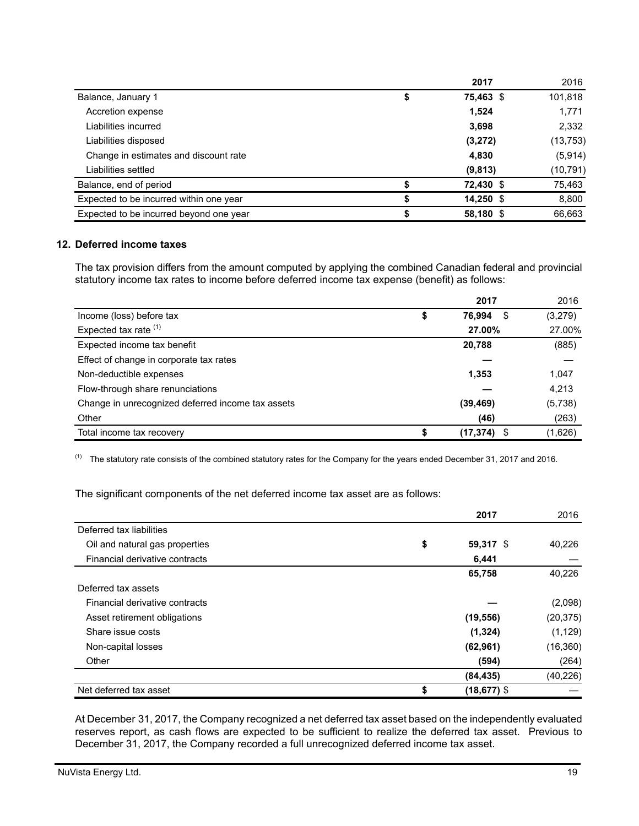|                                         | 2017            | 2016      |
|-----------------------------------------|-----------------|-----------|
| Balance, January 1                      | \$<br>75,463 \$ | 101,818   |
| Accretion expense                       | 1,524           | 1,771     |
| Liabilities incurred                    | 3,698           | 2,332     |
| Liabilities disposed                    | (3,272)         | (13, 753) |
| Change in estimates and discount rate   | 4,830           | (5, 914)  |
| Liabilities settled                     | (9,813)         | (10, 791) |
| Balance, end of period                  | 72,430 \$       | 75,463    |
| Expected to be incurred within one year | 14,250 \$       | 8,800     |
| Expected to be incurred beyond one year | 58,180 \$       | 66,663    |

## **12. Deferred income taxes**

The tax provision differs from the amount computed by applying the combined Canadian federal and provincial statutory income tax rates to income before deferred income tax expense (benefit) as follows:

|                                                   | 2017               | 2016    |
|---------------------------------------------------|--------------------|---------|
| Income (loss) before tax                          | \$<br>76.994<br>\$ | (3,279) |
| Expected tax rate $(1)$                           | 27.00%             | 27.00%  |
| Expected income tax benefit                       | 20,788             | (885)   |
| Effect of change in corporate tax rates           |                    |         |
| Non-deductible expenses                           | 1,353              | 1,047   |
| Flow-through share renunciations                  |                    | 4,213   |
| Change in unrecognized deferred income tax assets | (39, 469)          | (5,738) |
| Other                                             | (46)               | (263)   |
| Total income tax recovery                         | (17, 374)          | (1,626) |

(1) The statutory rate consists of the combined statutory rates for the Company for the years ended December 31, 2017 and 2016.

The significant components of the net deferred income tax asset are as follows:

|                                | 2017            | 2016      |
|--------------------------------|-----------------|-----------|
| Deferred tax liabilities       |                 |           |
| Oil and natural gas properties | \$<br>59,317 \$ | 40,226    |
| Financial derivative contracts | 6,441           |           |
|                                | 65,758          | 40,226    |
| Deferred tax assets            |                 |           |
| Financial derivative contracts |                 | (2,098)   |
| Asset retirement obligations   | (19, 556)       | (20, 375) |
| Share issue costs              | (1, 324)        | (1, 129)  |
| Non-capital losses             | (62, 961)       | (16, 360) |
| Other                          | (594)           | (264)     |
|                                | (84, 435)       | (40, 226) |
| Net deferred tax asset         | $(18, 677)$ \$  |           |

At December 31, 2017, the Company recognized a net deferred tax asset based on the independently evaluated reserves report, as cash flows are expected to be sufficient to realize the deferred tax asset. Previous to December 31, 2017, the Company recorded a full unrecognized deferred income tax asset.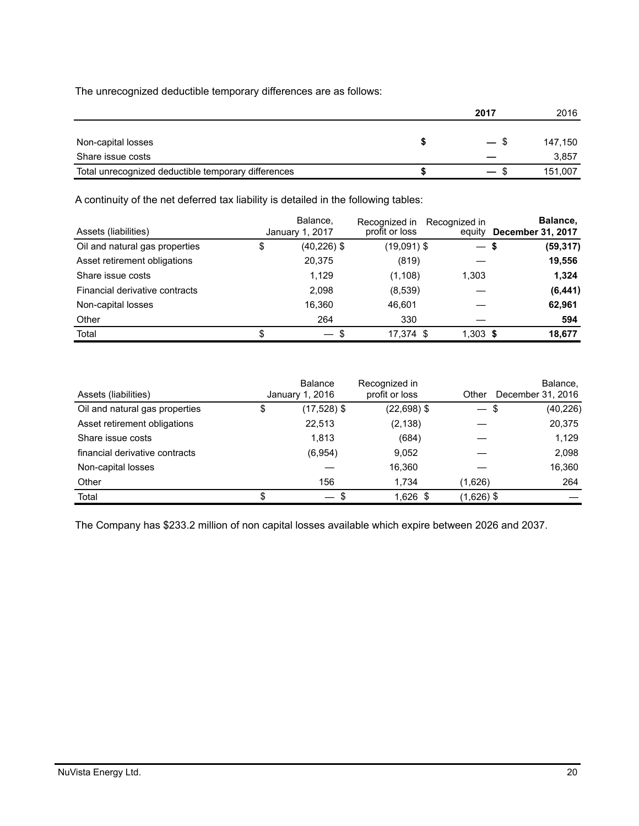The unrecognized deductible temporary differences are as follows:

|                                                     | 2017   | 2016    |
|-----------------------------------------------------|--------|---------|
|                                                     |        |         |
| Non-capital losses                                  | $-$ \$ | 147,150 |
| Share issue costs                                   |        | 3,857   |
| Total unrecognized deductible temporary differences | — ა    | 151,007 |

A continuity of the net deferred tax liability is detailed in the following tables:

| Assets (liabilities)           | Balance.<br>January 1, 2017 | Recognized in<br>profit or loss | Recognized in<br>equity  | Balance,<br><b>December 31, 2017</b> |
|--------------------------------|-----------------------------|---------------------------------|--------------------------|--------------------------------------|
| Oil and natural gas properties | \$<br>$(40,226)$ \$         | $(19,091)$ \$                   | $\overline{\phantom{0}}$ | (59,317)<br>- \$                     |
| Asset retirement obligations   | 20,375                      | (819)                           |                          | 19,556                               |
| Share issue costs              | 1.129                       | (1, 108)                        | 1.303                    | 1.324                                |
| Financial derivative contracts | 2,098                       | (8,539)                         |                          | (6, 441)                             |
| Non-capital losses             | 16.360                      | 46.601                          |                          | 62,961                               |
| Other                          | 264                         | 330                             |                          | 594                                  |
| Total                          | $\overline{\phantom{a}}$    | 17.374 \$                       | $1.303$ \$               | 18,677                               |

|                                | <b>Balance</b>      | Recognized in<br>profit or loss | Other             | Balance,<br>December 31, 2016 |
|--------------------------------|---------------------|---------------------------------|-------------------|-------------------------------|
| Assets (liabilities)           | January 1, 2016     |                                 |                   |                               |
| Oil and natural gas properties | \$<br>$(17,528)$ \$ | $(22, 698)$ \$                  | $\qquad \qquad -$ | (40, 226)<br>\$               |
| Asset retirement obligations   | 22,513              | (2, 138)                        |                   | 20,375                        |
| Share issue costs              | 1,813               | (684)                           |                   | 1,129                         |
| financial derivative contracts | (6,954)             | 9.052                           |                   | 2,098                         |
| Non-capital losses             |                     | 16,360                          |                   | 16,360                        |
| Other                          | 156                 | 1.734                           | (1,626)           | 264                           |
| Total                          | \$<br>- \$          | 1.626 \$                        | $(1,626)$ \$      |                               |

The Company has \$233.2 million of non capital losses available which expire between 2026 and 2037.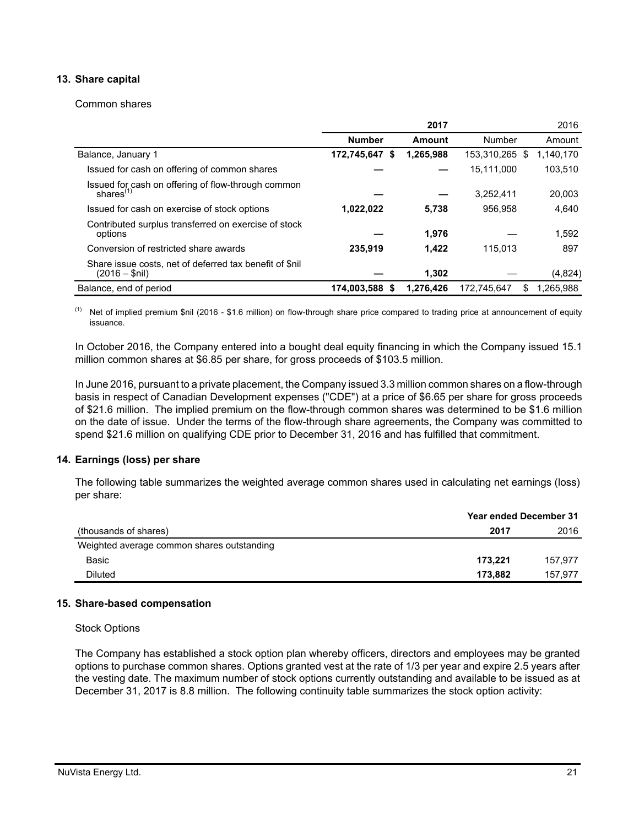#### **13. Share capital**

#### Common shares

|                                                                            | 2017                |           |             | 2016 |           |
|----------------------------------------------------------------------------|---------------------|-----------|-------------|------|-----------|
|                                                                            | <b>Number</b>       | Amount    | Number      |      | Amount    |
| Balance, January 1                                                         | 172,745,647<br>- \$ | 1,265,988 | 153.310.265 | -S   | 1.140.170 |
| Issued for cash on offering of common shares                               |                     |           | 15,111,000  |      | 103,510   |
| Issued for cash on offering of flow-through common<br>shares $^{(1)}$      |                     |           | 3.252.411   |      | 20.003    |
| Issued for cash on exercise of stock options                               | 1,022,022           | 5,738     | 956.958     |      | 4,640     |
| Contributed surplus transferred on exercise of stock<br>options            |                     | 1.976     |             |      | 1,592     |
| Conversion of restricted share awards                                      | 235.919             | 1,422     | 115.013     |      | 897       |
| Share issue costs, net of deferred tax benefit of \$nil<br>$(2016 - $nil)$ |                     | 1.302     |             |      | (4,824)   |
| Balance, end of period                                                     | 174,003,588 \$      | 1.276.426 | 172.745.647 | S    | 1.265.988 |

(1) Net of implied premium \$nil (2016 - \$1.6 million) on flow-through share price compared to trading price at announcement of equity issuance.

In October 2016, the Company entered into a bought deal equity financing in which the Company issued 15.1 million common shares at \$6.85 per share, for gross proceeds of \$103.5 million.

In June 2016, pursuant to a private placement, the Company issued 3.3 million common shares on a flow-through basis in respect of Canadian Development expenses ("CDE") at a price of \$6.65 per share for gross proceeds of \$21.6 million. The implied premium on the flow-through common shares was determined to be \$1.6 million on the date of issue. Under the terms of the flow-through share agreements, the Company was committed to spend \$21.6 million on qualifying CDE prior to December 31, 2016 and has fulfilled that commitment.

#### **14. Earnings (loss) per share**

The following table summarizes the weighted average common shares used in calculating net earnings (loss) per share:

|                                            | <b>Year ended December 31</b> |         |
|--------------------------------------------|-------------------------------|---------|
| (thousands of shares)                      | 2017                          | 2016    |
| Weighted average common shares outstanding |                               |         |
| Basic                                      | 173.221                       | 157.977 |
| Diluted                                    | 173.882                       | 157.977 |

# **15. Share-based compensation**

#### Stock Options

The Company has established a stock option plan whereby officers, directors and employees may be granted options to purchase common shares. Options granted vest at the rate of 1/3 per year and expire 2.5 years after the vesting date. The maximum number of stock options currently outstanding and available to be issued as at December 31, 2017 is 8.8 million. The following continuity table summarizes the stock option activity: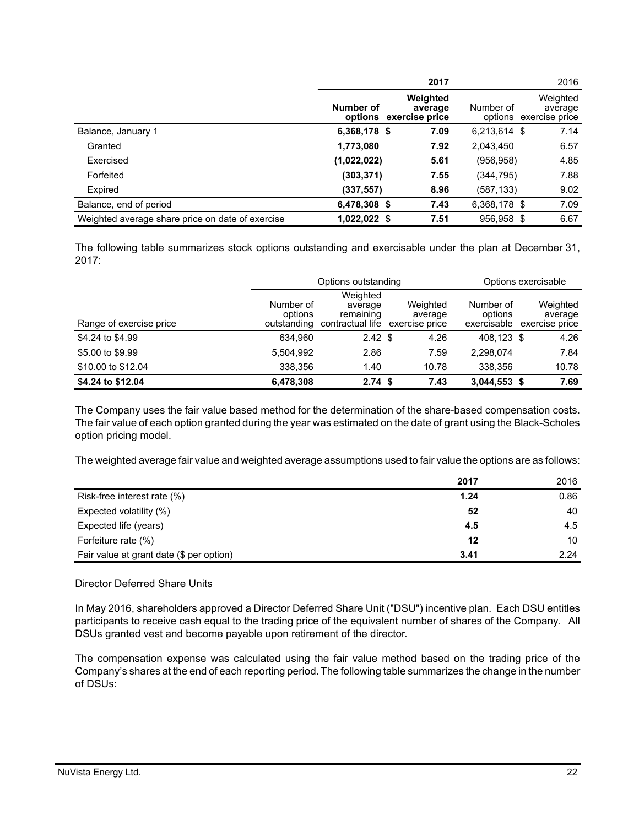|                                                  |              | 2017                                          |              | 2016                                          |
|--------------------------------------------------|--------------|-----------------------------------------------|--------------|-----------------------------------------------|
|                                                  | Number of    | Weighted<br>average<br>options exercise price | Number of    | Weighted<br>average<br>options exercise price |
| Balance, January 1                               | 6,368,178 \$ | 7.09                                          | 6,213,614 \$ | 7.14                                          |
| Granted                                          | 1,773,080    | 7.92                                          | 2,043,450    | 6.57                                          |
| Exercised                                        | (1,022,022)  | 5.61                                          | (956, 958)   | 4.85                                          |
| Forfeited                                        | (303, 371)   | 7.55                                          | (344, 795)   | 7.88                                          |
| Expired                                          | (337, 557)   | 8.96                                          | (587, 133)   | 9.02                                          |
| Balance, end of period                           | 6,478,308 \$ | 7.43                                          | 6,368,178 \$ | 7.09                                          |
| Weighted average share price on date of exercise | 1,022,022 \$ | 7.51                                          | 956,958 \$   | 6.67                                          |

The following table summarizes stock options outstanding and exercisable under the plan at December 31, 2017:

|                         |                                     | Options outstanding                                  |                                       |                                     | Options exercisable                   |
|-------------------------|-------------------------------------|------------------------------------------------------|---------------------------------------|-------------------------------------|---------------------------------------|
| Range of exercise price | Number of<br>options<br>outstanding | Weighted<br>average<br>remaining<br>contractual life | Weighted<br>average<br>exercise price | Number of<br>options<br>exercisable | Weighted<br>average<br>exercise price |
| \$4.24 to \$4.99        | 634.960                             | $2.42 \text{ } $$                                    | 4.26                                  | 408.123 \$                          | 4.26                                  |
| \$5.00 to \$9.99        | 5,504,992                           | 2.86                                                 | 7.59                                  | 2.298.074                           | 7.84                                  |
| \$10.00 to \$12.04      | 338,356                             | 1.40                                                 | 10.78                                 | 338,356                             | 10.78                                 |
| \$4.24 to \$12.04       | 6,478,308                           | 2.74 <sub>5</sub>                                    | 7.43                                  | $3.044.553$ \$                      | 7.69                                  |

The Company uses the fair value based method for the determination of the share-based compensation costs. The fair value of each option granted during the year was estimated on the date of grant using the Black-Scholes option pricing model.

The weighted average fair value and weighted average assumptions used to fair value the options are as follows:

|                                          | 2017 | 2016 |
|------------------------------------------|------|------|
| Risk-free interest rate (%)              | 1.24 | 0.86 |
| Expected volatility (%)                  | 52   | 40   |
| Expected life (years)                    | 4.5  | 4.5  |
| Forfeiture rate (%)                      | 12   | 10   |
| Fair value at grant date (\$ per option) | 3.41 | 2.24 |

# Director Deferred Share Units

In May 2016, shareholders approved a Director Deferred Share Unit ("DSU") incentive plan. Each DSU entitles participants to receive cash equal to the trading price of the equivalent number of shares of the Company. All DSUs granted vest and become payable upon retirement of the director.

The compensation expense was calculated using the fair value method based on the trading price of the Company's shares at the end of each reporting period. The following table summarizes the change in the number of DSUs: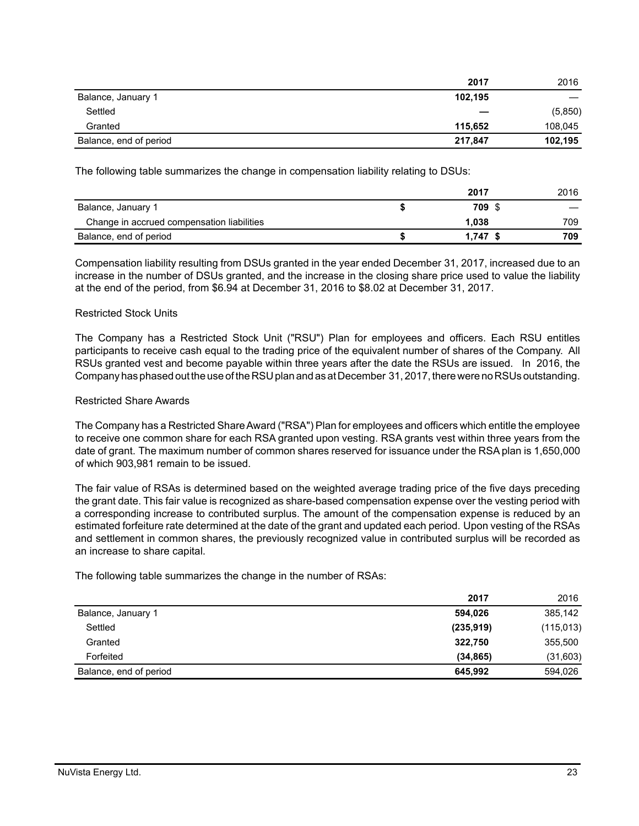|                        | 2017    | 2016    |
|------------------------|---------|---------|
| Balance, January 1     | 102.195 |         |
| Settled                |         | (5,850) |
| Granted                | 115.652 | 108,045 |
| Balance, end of period | 217,847 | 102,195 |

The following table summarizes the change in compensation liability relating to DSUs:

|                                            | 2017   | 2016 |
|--------------------------------------------|--------|------|
| Balance, January 1                         | 709 \$ |      |
| Change in accrued compensation liabilities | 1.038  | 709  |
| Balance, end of period                     | 1.747  | 709  |

Compensation liability resulting from DSUs granted in the year ended December 31, 2017, increased due to an increase in the number of DSUs granted, and the increase in the closing share price used to value the liability at the end of the period, from \$6.94 at December 31, 2016 to \$8.02 at December 31, 2017.

#### Restricted Stock Units

The Company has a Restricted Stock Unit ("RSU") Plan for employees and officers. Each RSU entitles participants to receive cash equal to the trading price of the equivalent number of shares of the Company. All RSUs granted vest and become payable within three years after the date the RSUs are issued. In 2016, the Company has phased out the use of the RSU plan and as at December 31, 2017, there were no RSUs outstanding.

#### Restricted Share Awards

The Company has a Restricted Share Award ("RSA") Plan for employees and officers which entitle the employee to receive one common share for each RSA granted upon vesting. RSA grants vest within three years from the date of grant. The maximum number of common shares reserved for issuance under the RSA plan is 1,650,000 of which 903,981 remain to be issued.

The fair value of RSAs is determined based on the weighted average trading price of the five days preceding the grant date. This fair value is recognized as share-based compensation expense over the vesting period with a corresponding increase to contributed surplus. The amount of the compensation expense is reduced by an estimated forfeiture rate determined at the date of the grant and updated each period. Upon vesting of the RSAs and settlement in common shares, the previously recognized value in contributed surplus will be recorded as an increase to share capital.

The following table summarizes the change in the number of RSAs:

|                        | 2017       | 2016       |
|------------------------|------------|------------|
| Balance, January 1     | 594,026    | 385,142    |
| Settled                | (235, 919) | (115, 013) |
| Granted                | 322,750    | 355,500    |
| Forfeited              | (34, 865)  | (31,603)   |
| Balance, end of period | 645,992    | 594,026    |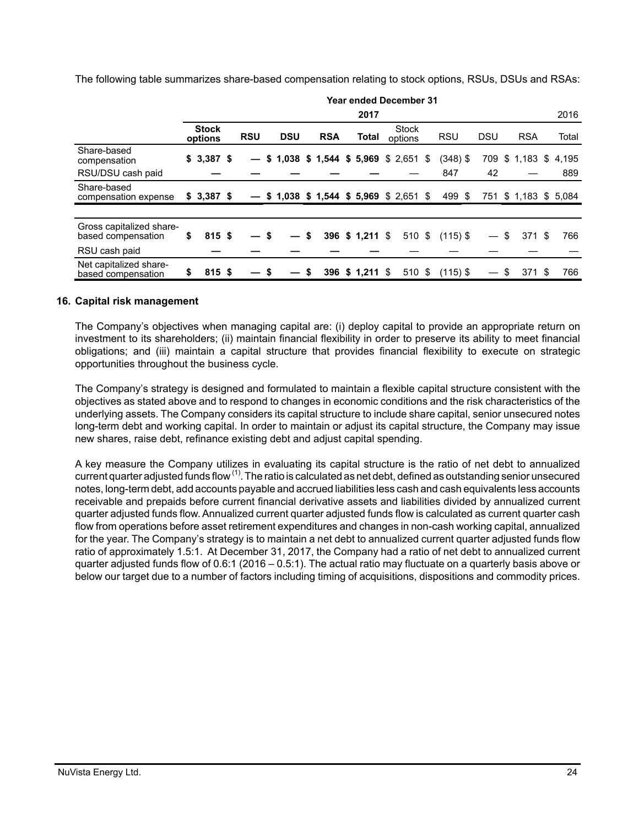The following table summarizes share-based compensation relating to stock options, RSUs, DSUs and RSAs:

|                                                |                         |            |   |                          |    |            | <b>Year ended December 31</b>              |                  |            |            |                       |    |         |
|------------------------------------------------|-------------------------|------------|---|--------------------------|----|------------|--------------------------------------------|------------------|------------|------------|-----------------------|----|---------|
|                                                |                         |            |   |                          |    |            | 2017                                       |                  |            |            |                       |    | 2016    |
|                                                | <b>Stock</b><br>options | <b>RSU</b> |   | <b>DSU</b>               |    | <b>RSA</b> | Total                                      | Stock<br>options | <b>RSU</b> | <b>DSU</b> | <b>RSA</b>            |    | Total   |
| Share-based<br>compensation                    | $$3,387$ \$             |            |   |                          |    |            | $-$ \$ 1,038 \$ 1,544 \$ 5,969 \$ 2,651 \$ |                  | $(348)$ \$ | 709        | \$1,183               |    | \$4,195 |
| RSU/DSU cash paid                              |                         |            |   |                          |    |            |                                            |                  | 847        | 42         |                       |    | 889     |
| Share-based<br>compensation expense            | $$3,387$ \$             |            |   |                          |    |            | $-$ \$ 1,038 \$ 1,544 \$ 5,969 \$ 2,651 \$ |                  | 499 \$     |            | 751 \$ 1.183 \$ 5.084 |    |         |
|                                                |                         |            |   |                          |    |            |                                            |                  |            |            |                       |    |         |
| Gross capitalized share-<br>based compensation | \$<br>815S              |            | S |                          | \$ |            | 396 \$ 1,211 \$                            | 510S             | $(115)$ \$ |            | \$<br>371             | -S | 766     |
| RSU cash paid                                  |                         |            |   |                          |    |            |                                            |                  |            |            |                       |    |         |
| Net capitalized share-<br>based compensation   | \$<br>815S              |            |   | $\overline{\phantom{0}}$ | -S |            | 396 \$ 1,211 \$                            | 510 \$           | $(115)$ \$ |            | \$<br>371S            |    | 766     |

#### **16. Capital risk management**

The Company's objectives when managing capital are: (i) deploy capital to provide an appropriate return on investment to its shareholders; (ii) maintain financial flexibility in order to preserve its ability to meet financial obligations; and (iii) maintain a capital structure that provides financial flexibility to execute on strategic opportunities throughout the business cycle.

The Company's strategy is designed and formulated to maintain a flexible capital structure consistent with the objectives as stated above and to respond to changes in economic conditions and the risk characteristics of the underlying assets. The Company considers its capital structure to include share capital, senior unsecured notes long-term debt and working capital. In order to maintain or adjust its capital structure, the Company may issue new shares, raise debt, refinance existing debt and adjust capital spending.

A key measure the Company utilizes in evaluating its capital structure is the ratio of net debt to annualized current quarter adjusted funds flow <sup>(1)</sup>. The ratio is calculated as net debt, defined as outstanding senior unsecured notes, long-term debt, add accounts payable and accrued liabilities less cash and cash equivalents less accounts receivable and prepaids before current financial derivative assets and liabilities divided by annualized current quarter adjusted funds flow. Annualized current quarter adjusted funds flow is calculated as current quarter cash flow from operations before asset retirement expenditures and changes in non-cash working capital, annualized for the year. The Company's strategy is to maintain a net debt to annualized current quarter adjusted funds flow ratio of approximately 1.5:1. At December 31, 2017, the Company had a ratio of net debt to annualized current quarter adjusted funds flow of 0.6:1 (2016 – 0.5:1). The actual ratio may fluctuate on a quarterly basis above or below our target due to a number of factors including timing of acquisitions, dispositions and commodity prices.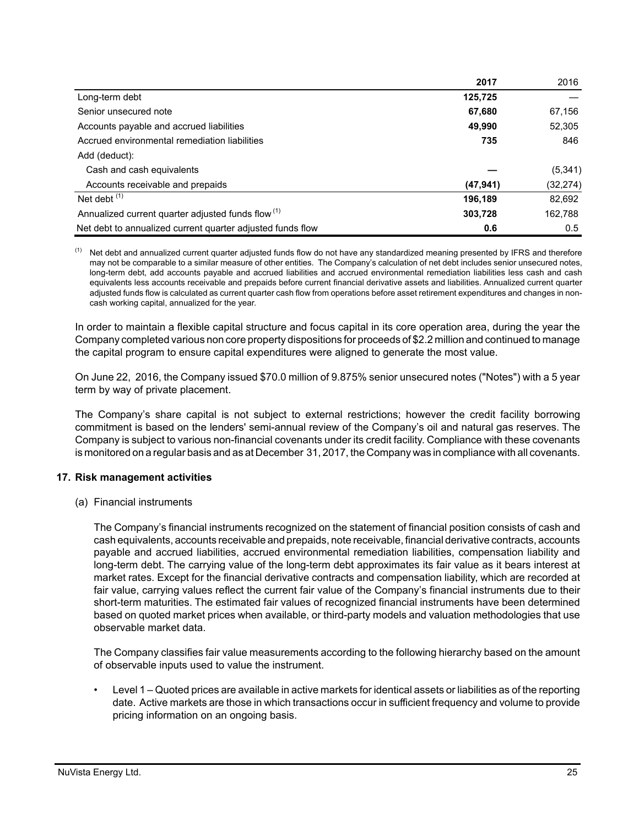|                                                               | 2017      | 2016      |
|---------------------------------------------------------------|-----------|-----------|
| Long-term debt                                                | 125,725   |           |
| Senior unsecured note                                         | 67,680    | 67,156    |
| Accounts payable and accrued liabilities                      | 49,990    | 52,305    |
| Accrued environmental remediation liabilities                 | 735       | 846       |
| Add (deduct):                                                 |           |           |
| Cash and cash equivalents                                     |           | (5,341)   |
| Accounts receivable and prepaids                              | (47, 941) | (32, 274) |
| Net debt $(1)$                                                | 196,189   | 82,692    |
| Annualized current quarter adjusted funds flow <sup>(1)</sup> | 303,728   | 162,788   |
| Net debt to annualized current quarter adjusted funds flow    | 0.6       | 0.5       |

<sup>(1)</sup> Net debt and annualized current quarter adjusted funds flow do not have any standardized meaning presented by IFRS and therefore may not be comparable to a similar measure of other entities. The Company's calculation of net debt includes senior unsecured notes, long-term debt, add accounts payable and accrued liabilities and accrued environmental remediation liabilities less cash and cash equivalents less accounts receivable and prepaids before current financial derivative assets and liabilities. Annualized current quarter adjusted funds flow is calculated as current quarter cash flow from operations before asset retirement expenditures and changes in noncash working capital, annualized for the year.

In order to maintain a flexible capital structure and focus capital in its core operation area, during the year the Company completed various non core property dispositions for proceeds of \$2.2 million and continued to manage the capital program to ensure capital expenditures were aligned to generate the most value.

On June 22, 2016, the Company issued \$70.0 million of 9.875% senior unsecured notes ("Notes") with a 5 year term by way of private placement.

The Company's share capital is not subject to external restrictions; however the credit facility borrowing commitment is based on the lenders' semi-annual review of the Company's oil and natural gas reserves. The Company is subject to various non-financial covenants under its credit facility. Compliance with these covenants is monitored on a regular basis and as at December 31, 2017, the Company was in compliance with all covenants.

# **17. Risk management activities**

(a) Financial instruments

The Company's financial instruments recognized on the statement of financial position consists of cash and cash equivalents, accounts receivable and prepaids, note receivable, financial derivative contracts, accounts payable and accrued liabilities, accrued environmental remediation liabilities, compensation liability and long-term debt. The carrying value of the long-term debt approximates its fair value as it bears interest at market rates. Except for the financial derivative contracts and compensation liability, which are recorded at fair value, carrying values reflect the current fair value of the Company's financial instruments due to their short-term maturities. The estimated fair values of recognized financial instruments have been determined based on quoted market prices when available, or third-party models and valuation methodologies that use observable market data.

The Company classifies fair value measurements according to the following hierarchy based on the amount of observable inputs used to value the instrument.

• Level 1 – Quoted prices are available in active markets for identical assets or liabilities as of the reporting date. Active markets are those in which transactions occur in sufficient frequency and volume to provide pricing information on an ongoing basis.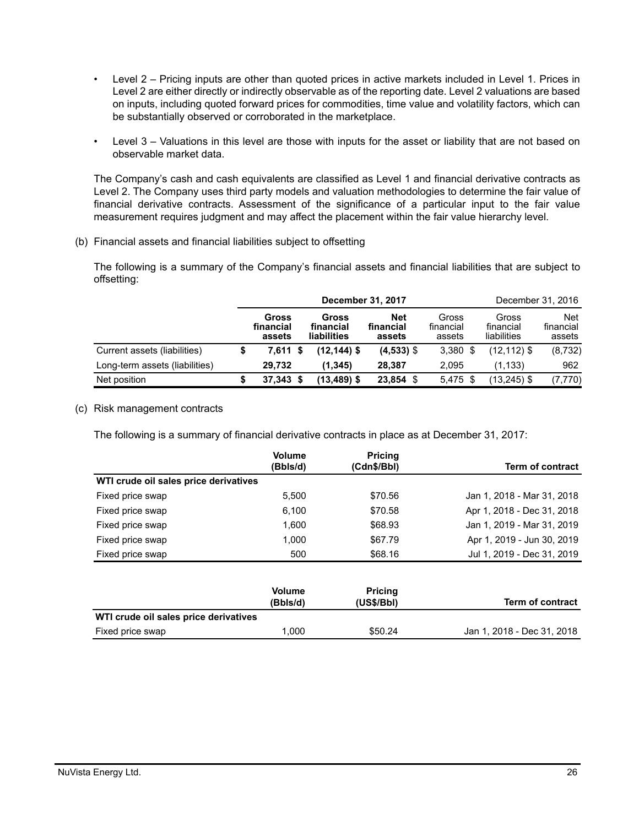- Level 2 Pricing inputs are other than quoted prices in active markets included in Level 1. Prices in Level 2 are either directly or indirectly observable as of the reporting date. Level 2 valuations are based on inputs, including quoted forward prices for commodities, time value and volatility factors, which can be substantially observed or corroborated in the marketplace.
- Level 3 Valuations in this level are those with inputs for the asset or liability that are not based on observable market data.

The Company's cash and cash equivalents are classified as Level 1 and financial derivative contracts as Level 2. The Company uses third party models and valuation methodologies to determine the fair value of financial derivative contracts. Assessment of the significance of a particular input to the fair value measurement requires judgment and may affect the placement within the fair value hierarchy level.

(b) Financial assets and financial liabilities subject to offsetting

The following is a summary of the Company's financial assets and financial liabilities that are subject to offsetting:

|                                | <b>December 31, 2017</b> |                              |  |                                   |                            | December 31, 2016            |                                   |                                   |
|--------------------------------|--------------------------|------------------------------|--|-----------------------------------|----------------------------|------------------------------|-----------------------------------|-----------------------------------|
|                                |                          | Gross<br>financial<br>assets |  | Gross<br>financial<br>liabilities | Net<br>financial<br>assets | Gross<br>financial<br>assets | Gross<br>financial<br>liabilities | <b>Net</b><br>financial<br>assets |
| Current assets (liabilities)   |                          | $7.611$ \$                   |  | $(12, 144)$ \$                    | $(4,533)$ \$               | $3,380$ \$                   | $(12, 112)$ \$                    | (8, 732)                          |
| Long-term assets (liabilities) |                          | 29.732                       |  | (1, 345)                          | 28,387                     | 2.095                        | (1,133)                           | 962                               |
| Net position                   |                          | $37,343$ \$                  |  | (13,489) \$                       | 23,854                     | $5,475$ \$                   | $(13,245)$ \$                     | (7,770)                           |

#### (c) Risk management contracts

The following is a summary of financial derivative contracts in place as at December 31, 2017:

|                                       | Volume<br>(Bbls/d) | <b>Pricing</b><br>(Cdn\$/Bbl) | <b>Term of contract</b>    |
|---------------------------------------|--------------------|-------------------------------|----------------------------|
| WTI crude oil sales price derivatives |                    |                               |                            |
| Fixed price swap                      | 5.500              | \$70.56                       | Jan 1, 2018 - Mar 31, 2018 |
| Fixed price swap                      | 6.100              | \$70.58                       | Apr 1, 2018 - Dec 31, 2018 |
| Fixed price swap                      | 1.600              | \$68.93                       | Jan 1, 2019 - Mar 31, 2019 |
| Fixed price swap                      | 1.000              | \$67.79                       | Apr 1, 2019 - Jun 30, 2019 |
| Fixed price swap                      | 500                | \$68.16                       | Jul 1, 2019 - Dec 31, 2019 |

|                                       | <b>Volume</b><br>(Bbls/d) | <b>Pricing</b><br>(US\$/Bbl) | <b>Term of contract</b>    |
|---------------------------------------|---------------------------|------------------------------|----------------------------|
| WTI crude oil sales price derivatives |                           |                              |                            |
| Fixed price swap                      | 1.000                     | \$50.24                      | Jan 1, 2018 - Dec 31, 2018 |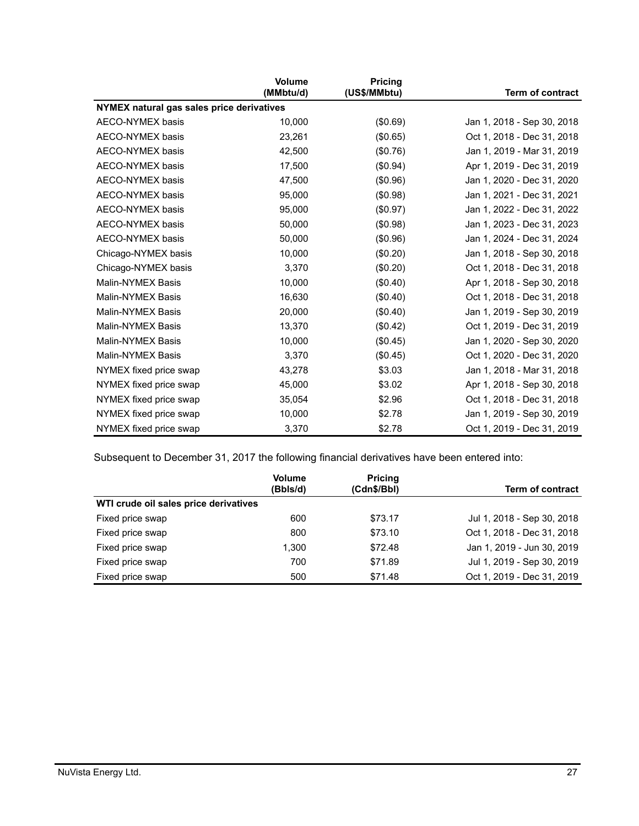|                                           | <b>Volume</b><br>(MMbtu/d) | Pricing<br>(US\$/MMbtu) | Term of contract           |
|-------------------------------------------|----------------------------|-------------------------|----------------------------|
| NYMEX natural gas sales price derivatives |                            |                         |                            |
| <b>AECO-NYMEX basis</b>                   | 10,000                     | (\$0.69)                | Jan 1, 2018 - Sep 30, 2018 |
| AECO-NYMEX basis                          | 23,261                     | (\$0.65)                | Oct 1, 2018 - Dec 31, 2018 |
| <b>AECO-NYMEX basis</b>                   | 42,500                     | (\$0.76)                | Jan 1, 2019 - Mar 31, 2019 |
| <b>AECO-NYMEX basis</b>                   | 17,500                     | (\$0.94)                | Apr 1, 2019 - Dec 31, 2019 |
| <b>AECO-NYMEX basis</b>                   | 47,500                     | (\$0.96)                | Jan 1, 2020 - Dec 31, 2020 |
| <b>AECO-NYMEX basis</b>                   | 95,000                     | (\$0.98)                | Jan 1, 2021 - Dec 31, 2021 |
| AECO-NYMEX basis                          | 95,000                     | (\$0.97)                | Jan 1, 2022 - Dec 31, 2022 |
| AECO-NYMEX basis                          | 50,000                     | (\$0.98)                | Jan 1, 2023 - Dec 31, 2023 |
| AECO-NYMEX basis                          | 50,000                     | (\$0.96)                | Jan 1, 2024 - Dec 31, 2024 |
| Chicago-NYMEX basis                       | 10,000                     | (\$0.20)                | Jan 1, 2018 - Sep 30, 2018 |
| Chicago-NYMEX basis                       | 3,370                      | (\$0.20)                | Oct 1, 2018 - Dec 31, 2018 |
| Malin-NYMEX Basis                         | 10,000                     | (\$0.40)                | Apr 1, 2018 - Sep 30, 2018 |
| Malin-NYMEX Basis                         | 16,630                     | (\$0.40)                | Oct 1, 2018 - Dec 31, 2018 |
| Malin-NYMEX Basis                         | 20,000                     | (\$0.40)                | Jan 1, 2019 - Sep 30, 2019 |
| Malin-NYMEX Basis                         | 13,370                     | (\$0.42)                | Oct 1, 2019 - Dec 31, 2019 |
| Malin-NYMEX Basis                         | 10,000                     | (\$0.45)                | Jan 1, 2020 - Sep 30, 2020 |
| Malin-NYMEX Basis                         | 3,370                      | (\$0.45)                | Oct 1, 2020 - Dec 31, 2020 |
| NYMEX fixed price swap                    | 43,278                     | \$3.03                  | Jan 1, 2018 - Mar 31, 2018 |
| NYMEX fixed price swap                    | 45,000                     | \$3.02                  | Apr 1, 2018 - Sep 30, 2018 |
| NYMEX fixed price swap                    | 35,054                     | \$2.96                  | Oct 1, 2018 - Dec 31, 2018 |
| NYMEX fixed price swap                    | 10,000                     | \$2.78                  | Jan 1, 2019 - Sep 30, 2019 |
| NYMEX fixed price swap                    | 3,370                      | \$2.78                  | Oct 1, 2019 - Dec 31, 2019 |

Subsequent to December 31, 2017 the following financial derivatives have been entered into:

|                                       | <b>Volume</b><br>(Bbls/d) | <b>Pricing</b><br>(Cdn\$/Bbl) | <b>Term of contract</b>    |
|---------------------------------------|---------------------------|-------------------------------|----------------------------|
| WTI crude oil sales price derivatives |                           |                               |                            |
| Fixed price swap                      | 600                       | \$73.17                       | Jul 1, 2018 - Sep 30, 2018 |
| Fixed price swap                      | 800                       | \$73.10                       | Oct 1, 2018 - Dec 31, 2018 |
| Fixed price swap                      | 1.300                     | \$72.48                       | Jan 1, 2019 - Jun 30, 2019 |
| Fixed price swap                      | 700                       | \$71.89                       | Jul 1, 2019 - Sep 30, 2019 |
| Fixed price swap                      | 500                       | \$71.48                       | Oct 1, 2019 - Dec 31, 2019 |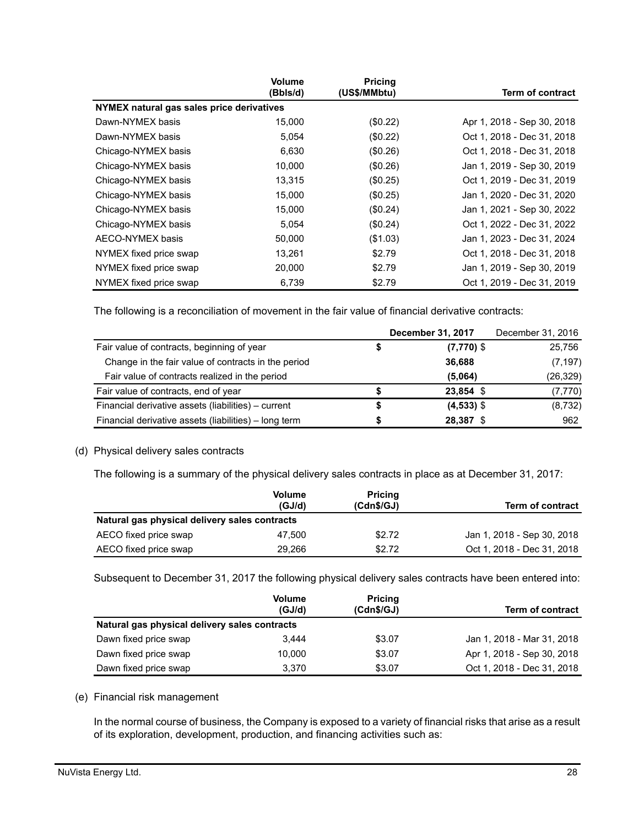|                                           | <b>Volume</b><br>(Bbls/d) | <b>Pricing</b><br>(US\$/MMbtu) | <b>Term of contract</b>    |
|-------------------------------------------|---------------------------|--------------------------------|----------------------------|
| NYMEX natural gas sales price derivatives |                           |                                |                            |
| Dawn-NYMEX basis                          | 15,000                    | (\$0.22)                       | Apr 1, 2018 - Sep 30, 2018 |
| Dawn-NYMEX basis                          | 5,054                     | (\$0.22)                       | Oct 1, 2018 - Dec 31, 2018 |
| Chicago-NYMEX basis                       | 6,630                     | (\$0.26)                       | Oct 1, 2018 - Dec 31, 2018 |
| Chicago-NYMEX basis                       | 10,000                    | (\$0.26)                       | Jan 1, 2019 - Sep 30, 2019 |
| Chicago-NYMEX basis                       | 13,315                    | (\$0.25)                       | Oct 1, 2019 - Dec 31, 2019 |
| Chicago-NYMEX basis                       | 15,000                    | (\$0.25)                       | Jan 1, 2020 - Dec 31, 2020 |
| Chicago-NYMEX basis                       | 15,000                    | $(\$0.24)$                     | Jan 1, 2021 - Sep 30, 2022 |
| Chicago-NYMEX basis                       | 5,054                     | $(\$0.24)$                     | Oct 1, 2022 - Dec 31, 2022 |
| AECO-NYMEX basis                          | 50,000                    | (\$1.03)                       | Jan 1, 2023 - Dec 31, 2024 |
| NYMEX fixed price swap                    | 13,261                    | \$2.79                         | Oct 1, 2018 - Dec 31, 2018 |
| NYMEX fixed price swap                    | 20,000                    | \$2.79                         | Jan 1, 2019 - Sep 30, 2019 |
| NYMEX fixed price swap                    | 6,739                     | \$2.79                         | Oct 1, 2019 - Dec 31, 2019 |

The following is a reconciliation of movement in the fair value of financial derivative contracts:

|                                                       | December 31, 2017 | December 31, 2016 |
|-------------------------------------------------------|-------------------|-------------------|
| Fair value of contracts, beginning of year            | $(7,770)$ \$      | 25,756            |
| Change in the fair value of contracts in the period   | 36,688            | (7, 197)          |
| Fair value of contracts realized in the period        | (5,064)           | (26, 329)         |
| Fair value of contracts, end of year                  | 23,854 \$         | (7, 770)          |
| Financial derivative assets (liabilities) – current   | $(4,533)$ \$      | (8, 732)          |
| Financial derivative assets (liabilities) - long term | 28,387 \$         | 962               |

# (d) Physical delivery sales contracts

The following is a summary of the physical delivery sales contracts in place as at December 31, 2017:

|                                               | <b>Volume</b><br>(GJ/d) | <b>Pricing</b><br>(Cdn\$/GJ) | Term of contract           |
|-----------------------------------------------|-------------------------|------------------------------|----------------------------|
| Natural gas physical delivery sales contracts |                         |                              |                            |
| AECO fixed price swap                         | 47.500                  | \$2.72                       | Jan 1, 2018 - Sep 30, 2018 |
| AECO fixed price swap                         | 29.266                  | \$2.72                       | Oct 1, 2018 - Dec 31, 2018 |

Subsequent to December 31, 2017 the following physical delivery sales contracts have been entered into:

|                                               | <b>Volume</b><br>(GJ/d) | <b>Pricing</b><br>(Cdn\$/GJ) | <b>Term of contract</b>    |  |  |  |
|-----------------------------------------------|-------------------------|------------------------------|----------------------------|--|--|--|
| Natural gas physical delivery sales contracts |                         |                              |                            |  |  |  |
| Dawn fixed price swap                         | 3.444                   | \$3.07                       | Jan 1, 2018 - Mar 31, 2018 |  |  |  |
| Dawn fixed price swap                         | 10.000                  | \$3.07                       | Apr 1, 2018 - Sep 30, 2018 |  |  |  |
| Dawn fixed price swap                         | 3.370                   | \$3.07                       | Oct 1, 2018 - Dec 31, 2018 |  |  |  |

# (e) Financial risk management

In the normal course of business, the Company is exposed to a variety of financial risks that arise as a result of its exploration, development, production, and financing activities such as: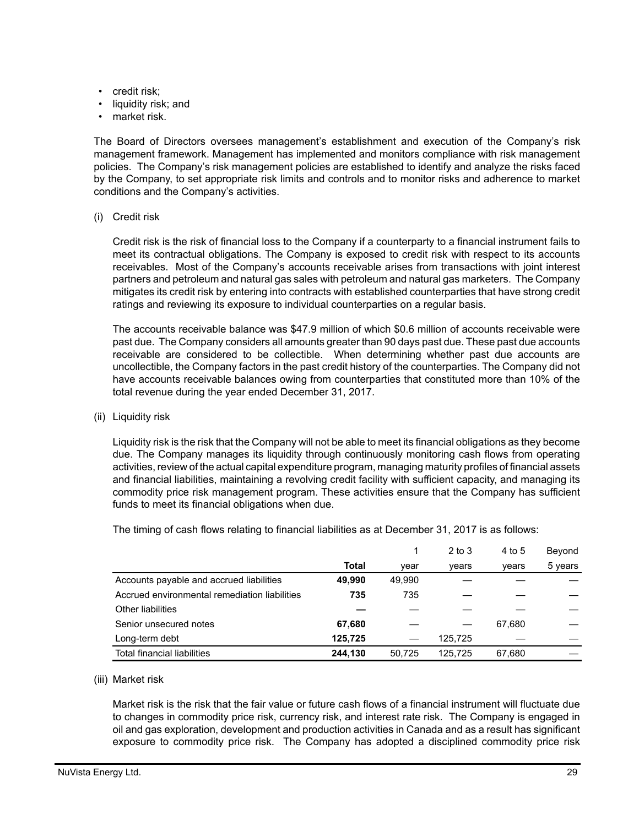- credit risk;
- liquidity risk; and
- market risk.

The Board of Directors oversees management's establishment and execution of the Company's risk management framework. Management has implemented and monitors compliance with risk management policies. The Company's risk management policies are established to identify and analyze the risks faced by the Company, to set appropriate risk limits and controls and to monitor risks and adherence to market conditions and the Company's activities.

(i) Credit risk

Credit risk is the risk of financial loss to the Company if a counterparty to a financial instrument fails to meet its contractual obligations. The Company is exposed to credit risk with respect to its accounts receivables. Most of the Company's accounts receivable arises from transactions with joint interest partners and petroleum and natural gas sales with petroleum and natural gas marketers. The Company mitigates its credit risk by entering into contracts with established counterparties that have strong credit ratings and reviewing its exposure to individual counterparties on a regular basis.

The accounts receivable balance was \$47.9 million of which \$0.6 million of accounts receivable were past due. The Company considers all amounts greater than 90 days past due. These past due accounts receivable are considered to be collectible. When determining whether past due accounts are uncollectible, the Company factors in the past credit history of the counterparties. The Company did not have accounts receivable balances owing from counterparties that constituted more than 10% of the total revenue during the year ended December 31, 2017.

(ii) Liquidity risk

Liquidity risk is the risk that the Company will not be able to meet its financial obligations as they become due. The Company manages its liquidity through continuously monitoring cash flows from operating activities, review of the actual capital expenditure program, managing maturity profiles of financial assets and financial liabilities, maintaining a revolving credit facility with sufficient capacity, and managing its commodity price risk management program. These activities ensure that the Company has sufficient funds to meet its financial obligations when due.

The timing of cash flows relating to financial liabilities as at December 31, 2017 is as follows:

|                                               |         |        | $2$ to $3$ | 4 to 5 | Beyond  |
|-----------------------------------------------|---------|--------|------------|--------|---------|
|                                               | Total   | year   | vears      | years  | 5 years |
| Accounts payable and accrued liabilities      | 49.990  | 49.990 |            |        |         |
| Accrued environmental remediation liabilities | 735     | 735    |            |        |         |
| Other liabilities                             |         |        |            |        |         |
| Senior unsecured notes                        | 67.680  |        |            | 67.680 |         |
| Long-term debt                                | 125.725 |        | 125.725    |        |         |
| <b>Total financial liabilities</b>            | 244.130 | 50.725 | 125.725    | 67.680 |         |

#### (iii) Market risk

Market risk is the risk that the fair value or future cash flows of a financial instrument will fluctuate due to changes in commodity price risk, currency risk, and interest rate risk. The Company is engaged in oil and gas exploration, development and production activities in Canada and as a result has significant exposure to commodity price risk. The Company has adopted a disciplined commodity price risk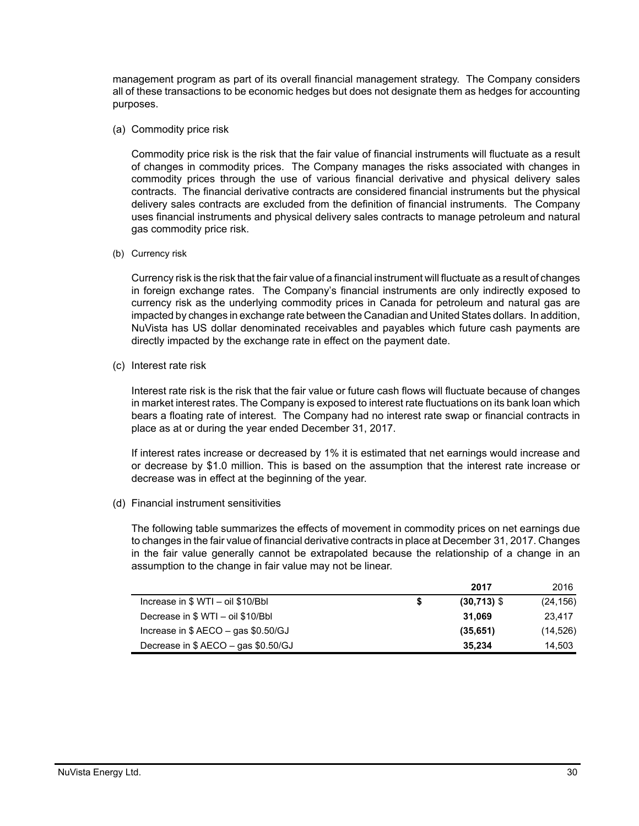management program as part of its overall financial management strategy. The Company considers all of these transactions to be economic hedges but does not designate them as hedges for accounting purposes.

(a) Commodity price risk

Commodity price risk is the risk that the fair value of financial instruments will fluctuate as a result of changes in commodity prices. The Company manages the risks associated with changes in commodity prices through the use of various financial derivative and physical delivery sales contracts. The financial derivative contracts are considered financial instruments but the physical delivery sales contracts are excluded from the definition of financial instruments. The Company uses financial instruments and physical delivery sales contracts to manage petroleum and natural gas commodity price risk.

(b) Currency risk

Currency risk is the risk that the fair value of a financial instrument will fluctuate as a result of changes in foreign exchange rates. The Company's financial instruments are only indirectly exposed to currency risk as the underlying commodity prices in Canada for petroleum and natural gas are impacted by changes in exchange rate between the Canadian and United States dollars. In addition, NuVista has US dollar denominated receivables and payables which future cash payments are directly impacted by the exchange rate in effect on the payment date.

(c) Interest rate risk

Interest rate risk is the risk that the fair value or future cash flows will fluctuate because of changes in market interest rates. The Company is exposed to interest rate fluctuations on its bank loan which bears a floating rate of interest. The Company had no interest rate swap or financial contracts in place as at or during the year ended December 31, 2017.

If interest rates increase or decreased by 1% it is estimated that net earnings would increase and or decrease by \$1.0 million. This is based on the assumption that the interest rate increase or decrease was in effect at the beginning of the year.

(d) Financial instrument sensitivities

The following table summarizes the effects of movement in commodity prices on net earnings due to changes in the fair value of financial derivative contracts in place at December 31, 2017. Changes in the fair value generally cannot be extrapolated because the relationship of a change in an assumption to the change in fair value may not be linear.

|                                     |   | 2017          | 2016      |
|-------------------------------------|---|---------------|-----------|
| Increase in \$ WTI - oil \$10/Bbl   | S | $(30,713)$ \$ | (24, 156) |
| Decrease in \$ WTI - oil \$10/Bbl   |   | 31.069        | 23.417    |
| Increase in $$AECO - gas $0.50/GJ$  |   | (35, 651)     | (14, 526) |
| Decrease in \$ AECO - gas \$0.50/GJ |   | 35.234        | 14,503    |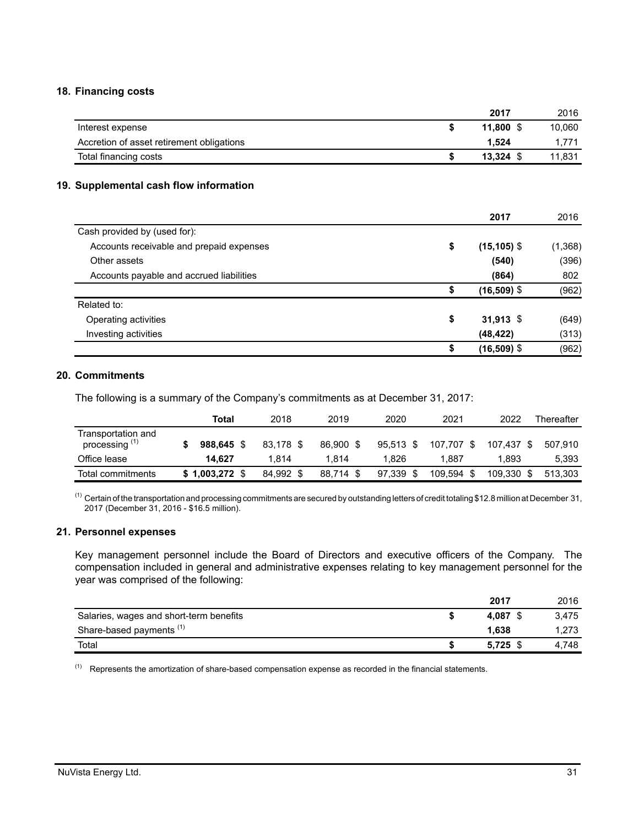#### **18. Financing costs**

|                                           | 2017        | 2016   |
|-------------------------------------------|-------------|--------|
| Interest expense                          | $11.800$ \$ | 10.060 |
| Accretion of asset retirement obligations | 1.524       | 1.771  |
| Total financing costs                     | $13.324$ \$ | 11,831 |

## **19. Supplemental cash flow information**

|                                          |    | 2017           | 2016    |
|------------------------------------------|----|----------------|---------|
| Cash provided by (used for):             |    |                |         |
| Accounts receivable and prepaid expenses | \$ | $(15, 105)$ \$ | (1,368) |
| Other assets                             |    | (540)          | (396)   |
| Accounts payable and accrued liabilities |    | (864)          | 802     |
|                                          | S  | $(16,509)$ \$  | (962)   |
| Related to:                              |    |                |         |
| Operating activities                     | \$ | $31,913$ \$    | (649)   |
| Investing activities                     |    | (48, 422)      | (313)   |
|                                          | S  | $(16,509)$ \$  | (962)   |

# **20. Commitments**

The following is a summary of the Company's commitments as at December 31, 2017:

|                                                 | Total           | 2018      | 2019      | 2020          | 2021       | 2022       | Thereafter |
|-------------------------------------------------|-----------------|-----------|-----------|---------------|------------|------------|------------|
| Transportation and<br>processing <sup>(1)</sup> | 988.645 \$      | 83.178 \$ | 86.900 \$ | $95.513$ \$   | 107.707 \$ | 107.437 \$ | 507.910    |
| Office lease                                    | 14.627          | 1.814     | 1.814     | 1.826         | 1.887      | 1,893      | 5,393      |
| Total commitments                               | $$1,003,272$ \$ | 84,992    | 88.714 \$ | 97.339<br>\$. | 109.594    | 109.330    | 513.303    |

 $^{(1)}$  Certain of the transportation and processing commitments are secured by outstanding letters of credit totaling \$12.8 million at December 31, 2017 (December 31, 2016 - \$16.5 million).

# **21. Personnel expenses**

Key management personnel include the Board of Directors and executive officers of the Company. The compensation included in general and administrative expenses relating to key management personnel for the year was comprised of the following:

|                                         | 2017  | 2016  |
|-----------------------------------------|-------|-------|
| Salaries, wages and short-term benefits | 4.087 | 3.475 |
| Share-based payments (1)                | 1.638 | 1.273 |
| Total                                   | 5.725 | 4.748 |

 $(1)$  Represents the amortization of share-based compensation expense as recorded in the financial statements.